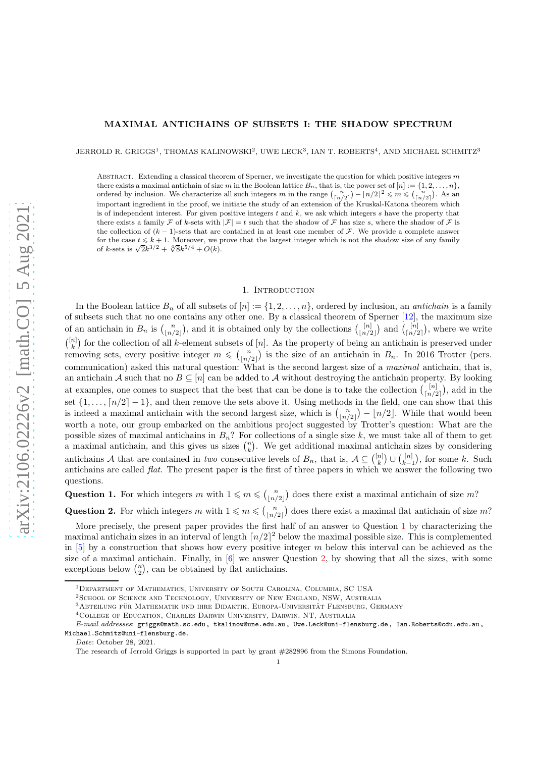## MAXIMAL ANTICHAINS OF SUBSETS I: THE SHADOW SPECTRUM

JERROLD R. GRIGGS<sup>1</sup>, THOMAS KALINOWSKI<sup>2</sup>, UWE LECK<sup>3</sup>, IAN T. ROBERTS<sup>4</sup>, AND MICHAEL SCHMITZ<sup>3</sup>

ABSTRACT. Extending a classical theorem of Sperner, we investigate the question for which positive integers  $m$ there exists a maximal antichain of size m in the Boolean lattice  $B_n$ , that is, the power set of  $[n] := \{1, 2, \ldots, n\}$ , ordered by inclusion. We characterize all such integers m in the range  $\binom{n}{\lceil n/2 \rceil} - \lceil n/2 \rceil^2 \leq m \leq \binom{n}{\lceil n/2 \rceil}$ . As an important ingredient in the proof, we initiate the study of an extension of the Kruskal-Katona theorem which is of independent interest. For given positive integers  $t$  and  $k$ , we ask which integers  $s$  have the property that there exists a family F of k-sets with  $|\mathcal{F}| = t$  such that the shadow of F has size s, where the shadow of F is the collection of  $(k-1)$ -sets that are contained in at least one member of F. We provide a complete answer for the case  $t \leq k+1$ . Moreover, we prove that the largest integer which is not the shadow size of any family of k-sets is  $\sqrt{2k^{3/2}} + \sqrt[4]{8k^{5/4}} + O(k)$ .

### 1. Introduction

In the Boolean lattice  $B_n$  of all subsets of  $[n] := \{1, 2, ..., n\}$ , ordered by inclusion, an *antichain* is a family of subsets such that no one contains any other one. By a classical theorem of Sperner [\[12\]](#page-18-0), the maximum size of an antichain in  $B_n$  is  $\binom{n}{\lfloor n/2 \rfloor}$ , and it is obtained only by the collections  $\binom{[n]}{\lfloor n/2 \rfloor}$  $\binom{[n]}{\lfloor n/2 \rfloor}$  and  $\binom{[n]}{\lceil n/2 \rceil}$  $\binom{[n]}{[n/2]}$ , where we write  $\binom{[n]}{k}$  for the collection of all k-element subsets of [n]. As the property of being an antichain is preserved under removing sets, every positive integer  $m \leq \binom{n}{\lfloor n/2 \rfloor}$  is the size of an antichain in  $B_n$ . In 2016 Trotter (pers. communication) asked this natural question: What is the second largest size of a *maximal* antichain, that is, an antichain A such that no  $B \subseteq [n]$  can be added to A without destroying the antichain property. By looking at examples, one comes to suspect that the best that can be done is to take the collection  $\binom{[n]}{\lfloor n/2\rfloor}$  $\binom{[n]}{[n/2]}$ , add in the set  $\{1, \ldots, \lceil n/2 \rceil - 1\}$ , and then remove the sets above it. Using methods in the field, one can show that this is indeed a maximal antichain with the second largest size, which is  $\binom{n}{\lfloor n/2\rfloor} - \lfloor n/2 \rfloor$ . While that would been worth a note, our group embarked on the ambitious project suggested by Trotter's question: What are the possible sizes of maximal antichains in  $B_n$ ? For collections of a single size k, we must take all of them to get a maximal antichain, and this gives us sizes  $\binom{n}{k}$ . We get additional maximal antichain sizes by considering antichains A that are contained in two consecutive levels of  $B_n$ , that is,  $A \subseteq \binom{[n]}{k} \cup \binom{[n]}{k-1}$ , for some k. Such antichains are called flat. The present paper is the first of three papers in which we answer the following two questions.

<span id="page-0-0"></span>Question 1. For which integers m with  $1 \leq m \leq {n \choose \lfloor n/2 \rfloor}$  does there exist a maximal antichain of size m?

<span id="page-0-1"></span>Question 2. For which integers m with  $1 \leq m \leq {n \choose \lfloor n/2 \rfloor}$  does there exist a maximal flat antichain of size m?

More precisely, the present paper provides the first half of an answer to Question [1](#page-0-0) by characterizing the maximal antichain sizes in an interval of length  $\lceil n/2 \rceil^2$  below the maximal possible size. This is complemented in [\[5\]](#page-18-1) by a construction that shows how every positive integer m below this interval can be achieved as the size of a maximal antichain. Finally, in  $[6]$  we answer Question [2,](#page-0-1) by showing that all the sizes, with some exceptions below  $\binom{n}{2}$ , can be obtained by flat antichains.

<sup>1</sup>Department of Mathematics, University of South Carolina, Columbia, SC USA

<sup>&</sup>lt;sup>2</sup>SCHOOL OF SCIENCE AND TECHNOLOGY, UNIVERSITY OF NEW ENGLAND, NSW, AUSTRALIA

 $^3{\rm A}$ Beteilung für Mathematik und ihre Didaktik, Europa-Universität Flensburg, Germany

<sup>4</sup>College of Education, Charles Darwin University, Darwin, NT, Australia

E-mail addresses: griggs@math.sc.edu, tkalinow@une.edu.au, Uwe.Leck@uni-flensburg.de, Ian.Roberts@cdu.edu.au, Michael.Schmitz@uni-flensburg.de.

Date: October 28, 2021.

The research of Jerrold Griggs is supported in part by grant #282896 from the Simons Foundation.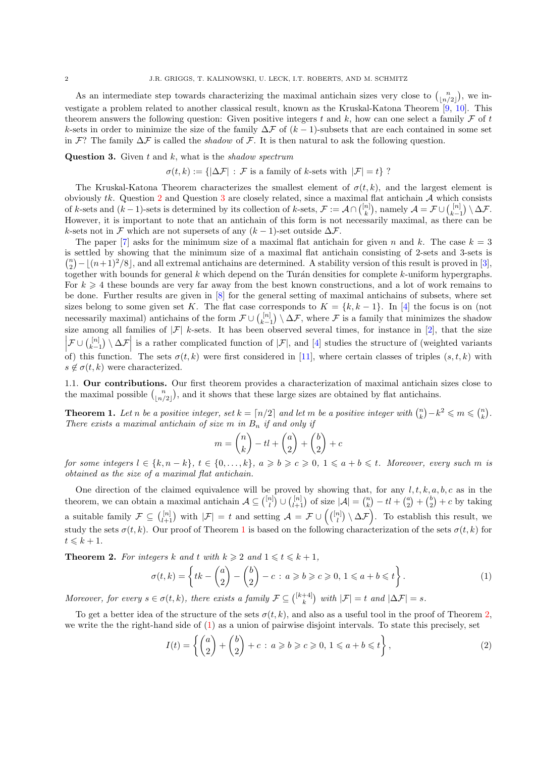As an intermediate step towards characterizing the maximal antichain sizes very close to  $\binom{n}{\lfloor n/2 \rfloor}$ , we investigate a problem related to another classical result, known as the Kruskal-Katona Theorem [\[9](#page-18-3), [10\]](#page-18-4). This theorem answers the following question: Given positive integers t and k, how can one select a family  $\mathcal F$  of t k-sets in order to minimize the size of the family  $\Delta \mathcal{F}$  of  $(k-1)$ -subsets that are each contained in some set in F? The family  $\Delta \mathcal{F}$  is called the *shadow* of F. It is then natural to ask the following question.

# <span id="page-1-0"></span>**Question 3.** Given  $t$  and  $k$ , what is the shadow spectrum

$$
\sigma(t,k) := \{ |\Delta \mathcal{F}| : \mathcal{F} \text{ is a family of } k\text{-sets with } |\mathcal{F}| = t \} ?
$$

The Kruskal-Katona Theorem characterizes the smallest element of  $\sigma(t, k)$ , and the largest element is obviously tk. Question [2](#page-0-1) and Question [3](#page-1-0) are closely related, since a maximal flat antichain  $A$  which consists of k-sets and  $(k-1)$ -sets is determined by its collection of k-sets,  $\mathcal{F} := \mathcal{A} \cap {[n] \choose k}$ , namely  $\mathcal{A} = \mathcal{F} \cup {[n] \choose k-1} \setminus \Delta \mathcal{F}$ . However, it is important to note that an antichain of this form is not necessarily maximal, as there can be k-sets not in F which are not supersets of any  $(k-1)$ -set outside  $\Delta \mathcal{F}$ .

The paper [\[7](#page-18-5)] asks for the minimum size of a maximal flat antichain for given n and k. The case  $k = 3$ is settled by showing that the minimum size of a maximal flat antichain consisting of 2-sets and 3-sets is  $\binom{n}{2} - \lfloor (n+1)^2/8 \rfloor$ , and all extremal antichains are determined. A stability version of this result is proved in [\[3\]](#page-18-6), together with bounds for general  $k$  which depend on the Turán densities for complete  $k$ -uniform hypergraphs. For  $k \geq 4$  these bounds are very far away from the best known constructions, and a lot of work remains to be done. Further results are given in [\[8\]](#page-18-7) for the general setting of maximal antichains of subsets, where set sizes belong to some given set K. The flat case corresponds to  $K = \{k, k-1\}$ . In [\[4](#page-18-8)] the focus is on (not necessarily maximal) antichains of the form  $\mathcal{F} \cup \binom{[n]}{k-1} \setminus \Delta \mathcal{F}$ , where  $\mathcal{F}$  is a family that minimizes the shadow size among all families of  $|\mathcal{F}|$  k-sets. It has been observed several times, for instance in [\[2\]](#page-18-9), that the size  $\left|\mathcal{F}\cup\binom{[n]}{k-1}\setminus\Delta\mathcal{F}\right|$  is a rather complicated function of  $|\mathcal{F}|$ , and [\[4\]](#page-18-8) studies the structure of (weighted variants of) this function. The sets  $\sigma(t, k)$  were first considered in [\[11](#page-18-10)], where certain classes of triples  $(s, t, k)$  with  $s \notin \sigma(t, k)$  were characterized.

1.1. Our contributions. Our first theorem provides a characterization of maximal antichain sizes close to the maximal possible  $\binom{n}{\lfloor n/2 \rfloor}$ , and it shows that these large sizes are obtained by flat antichains.

<span id="page-1-1"></span>**Theorem 1.** Let n be a positive integer, set  $k = \lfloor n/2 \rfloor$  and let m be a positive integer with  $\binom{n}{k} - k^2 \leq m \leq \binom{n}{k}$ . There exists a maximal antichain of size m in  $B_n$  if and only if

$$
m = \binom{n}{k} - tl + \binom{a}{2} + \binom{b}{2} + c
$$

for some integers  $l \in \{k, n-k\}, t \in \{0, ..., k\}, a \geqslant b \geqslant c \geqslant 0, 1 \leqslant a+b \leqslant t$ . Moreover, every such m is obtained as the size of a maximal flat antichain.

One direction of the claimed equivalence will be proved by showing that, for any  $l, t, k, a, b, c$  as in the theorem, we can obtain a maximal antichain  $A \subseteq \binom{[n]}{l} \cup \binom{[n]}{l+1}$  of size  $|\mathcal{A}| = \binom{n}{k} - tl + \binom{a}{2} + \binom{b}{2} + c$  by taking a suitable family  $\mathcal{F} \subseteq \binom{[n]}{l+1}$  with  $|\mathcal{F}| = t$  and setting  $\mathcal{A} = \mathcal{F} \cup \left( \binom{[n]}{l} \setminus \Delta \mathcal{F} \right)$ . To establish this result, we study the sets  $\sigma(t, k)$ . Our proof of Theorem [1](#page-1-1) is based on the following characterization of the sets  $\sigma(t, k)$  for  $t \leq k + 1$ .

<span id="page-1-2"></span>**Theorem 2.** For integers k and t with  $k \geq 2$  and  $1 \leq t \leq k+1$ ,

<span id="page-1-3"></span>
$$
\sigma(t,k) = \left\{ tk - \binom{a}{2} - \binom{b}{2} - c : a \geqslant b \geqslant c \geqslant 0, 1 \leqslant a+b \leqslant t \right\}.
$$
\n<sup>(1)</sup>

Moreover, for every  $s \in \sigma(t, k)$ , there exists a family  $\mathcal{F} \subseteq \binom{[k+4]}{k}$  with  $|\mathcal{F}| = t$  and  $|\Delta \mathcal{F}| = s$ .

To get a better idea of the structure of the sets  $\sigma(t, k)$ , and also as a useful tool in the proof of Theorem [2,](#page-1-2) we write the the right-hand side of [\(1\)](#page-1-3) as a union of pairwise disjoint intervals. To state this precisely, set

$$
I(t) = \left\{ \begin{pmatrix} a \\ 2 \end{pmatrix} + \begin{pmatrix} b \\ 2 \end{pmatrix} + c : a \geqslant b \geqslant c \geqslant 0, 1 \leqslant a + b \leqslant t \right\},\tag{2}
$$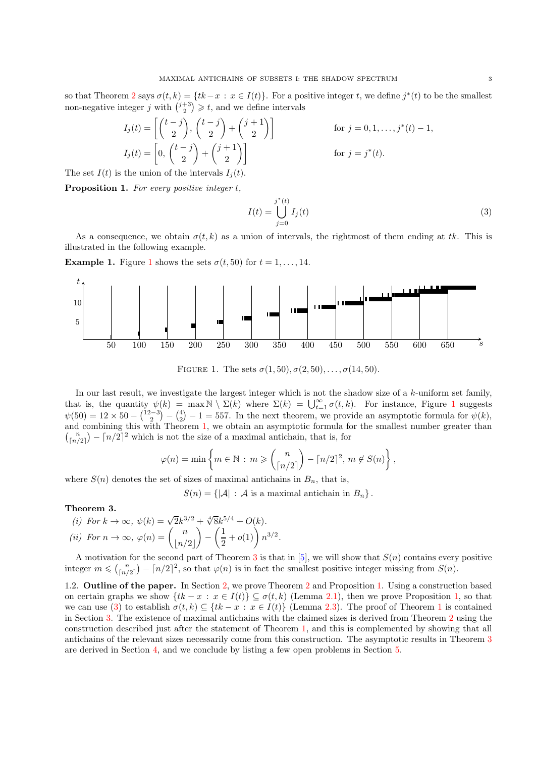so that Theorem [2](#page-1-2) says  $\sigma(t, k) = \{tk - x : x \in I(t)\}.$  For a positive integer t, we define  $j^*(t)$  to be the smallest non-negative integer  $j$  with  $\binom{j+3}{2} \geqslant t$ , and we define intervals

$$
I_j(t) = \begin{bmatrix} t-j \\ 2 \end{bmatrix}, \begin{bmatrix} t-j \\ 2 \end{bmatrix} + \begin{bmatrix} j+1 \\ 2 \end{bmatrix} \qquad \text{for } j = 0, 1, \dots, j^*(t) - 1,
$$
  

$$
I_j(t) = \begin{bmatrix} 0, \begin{bmatrix} t-j \\ 2 \end{bmatrix} + \begin{bmatrix} j+1 \\ 2 \end{bmatrix} \end{bmatrix} \qquad \text{for } j = j^*(t).
$$

<span id="page-2-2"></span>The set  $I(t)$  is the union of the intervals  $I_j(t)$ .

Proposition 1. For every positive integer t,

<span id="page-2-3"></span>
$$
I(t) = \bigcup_{j=0}^{j^*(t)} I_j(t)
$$
\n(3)

As a consequence, we obtain  $\sigma(t, k)$  as a union of intervals, the rightmost of them ending at tk. This is illustrated in the following example.

**Example [1](#page-2-0).** Figure 1 shows the sets  $\sigma(t, 50)$  for  $t = 1, \ldots, 14$ .



<span id="page-2-0"></span>FIGURE 1. The sets  $\sigma(1, 50), \sigma(2, 50), \ldots, \sigma(14, 50)$ .

In our last result, we investigate the largest integer which is not the shadow size of a k-uniform set family, that is, the quantity  $\psi(k) = \max \mathbb{N} \setminus \Sigma(k)$  where  $\Sigma(k) = \bigcup_{t=1}^{\infty} \sigma(t, k)$  $\Sigma(k) = \bigcup_{t=1}^{\infty} \sigma(t, k)$  $\Sigma(k) = \bigcup_{t=1}^{\infty} \sigma(t, k)$ . For instance, Figure 1 suggests  $\psi(50) = 12 \times 50 - {12-3 \choose 2} - {4 \choose 2} - 1 = 557$ . In the next theorem, we provide an asymptotic formula for  $\psi(k)$ , and combining this with Theorem [1,](#page-1-1) we obtain an asymptotic formula for the smallest number greater than  $\binom{n}{\lfloor n/2 \rfloor} - \lceil n/2 \rceil^2$  which is not the size of a maximal antichain, that is, for

$$
\varphi(n) = \min \left\{ m \in \mathbb{N} : m \geqslant {n \choose \lceil n/2 \rceil} - \lceil n/2 \rceil^2, m \not\in S(n) \right\},\,
$$

where  $S(n)$  denotes the set of sizes of maximal antichains in  $B_n$ , that is,

 $S(n) = \{|\mathcal{A}| : \mathcal{A} \text{ is a maximal antichain in } B_n\}.$ 

### <span id="page-2-4"></span><span id="page-2-1"></span>Theorem 3.

<span id="page-2-5"></span>(i) For 
$$
k \to \infty
$$
,  $\psi(k) = \sqrt{2k^{3/2}} + \sqrt[4]{8k^{5/4}} + O(k)$ .  
\n(ii) For  $n \to \infty$ ,  $\varphi(n) = \binom{n}{\lfloor n/2 \rfloor} - \left(\frac{1}{2} + o(1)\right) n^{3/2}$ .

A motivation for the second part of Theorem [3](#page-2-1) is that in [\[5](#page-18-1)], we will show that  $S(n)$  contains every positive integer  $m \leq {n \choose \lceil n/2 \rceil} - \lceil n/2 \rceil^2$ , so that  $\varphi(n)$  is in fact the smallest positive integer missing from  $S(n)$ .

1.2. Outline of the paper. In Section [2,](#page-3-0) we prove Theorem [2](#page-1-2) and Proposition [1.](#page-2-2) Using a construction based on certain graphs we show  $\{tk - x : x \in I(t)\} \subseteq \sigma(t, k)$  (Lemma [2.1\)](#page-4-0), then we prove Proposition [1,](#page-2-2) so that we can use [\(3\)](#page-2-3) to establish  $\sigma(t, k) \subseteq \{tk - x : x \in I(t)\}\)$  (Lemma [2.3\)](#page-6-0). The proof of Theorem [1](#page-1-1) is contained in Section [3.](#page-8-0) The existence of maximal antichains with the claimed sizes is derived from Theorem [2](#page-1-2) using the construction described just after the statement of Theorem [1,](#page-1-1) and this is complemented by showing that all antichains of the relevant sizes necessarily come from this construction. The asymptotic results in Theorem [3](#page-2-1) are derived in Section [4,](#page-15-0) and we conclude by listing a few open problems in Section [5.](#page-18-11)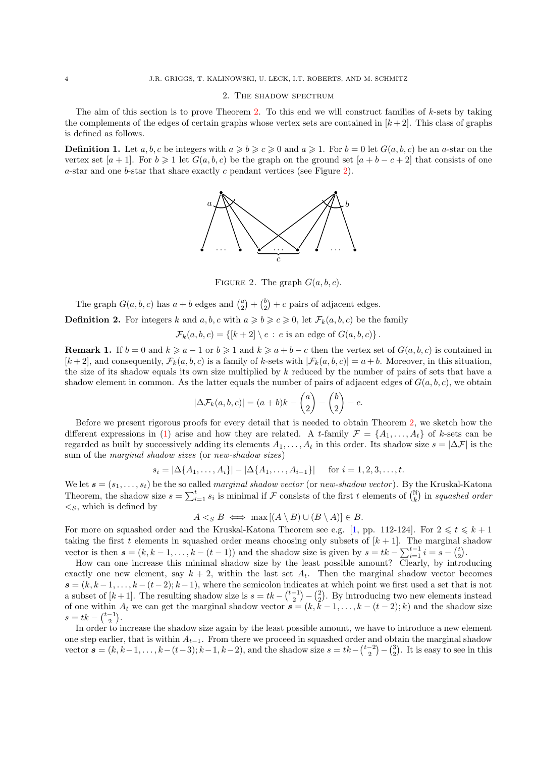### 2. The shadow spectrum

<span id="page-3-0"></span>The aim of this section is to prove Theorem [2.](#page-1-2) To this end we will construct families of  $k$ -sets by taking the complements of the edges of certain graphs whose vertex sets are contained in  $[k+2]$ . This class of graphs is defined as follows.

**Definition 1.** Let a, b, c be integers with  $a \geqslant b \geqslant c \geqslant 0$  and  $a \geqslant 1$ . For  $b = 0$  let  $G(a, b, c)$  be an a-star on the vertex set [a + 1]. For  $b \ge 1$  let  $G(a, b, c)$  be the graph on the ground set [a + b – c + 2] that consists of one a-star and one b-star that share exactly c pendant vertices (see Figure [2\)](#page-3-1).



<span id="page-3-1"></span>FIGURE 2. The graph  $G(a, b, c)$ .

The graph  $G(a, b, c)$  has  $a + b$  edges and  $\binom{a}{2} + \binom{b}{2} + c$  pairs of adjacent edges.

**Definition 2.** For integers k and a, b, c with  $a \ge b \ge c \ge 0$ , let  $\mathcal{F}_k(a, b, c)$  be the family

 $\mathcal{F}_k(a, b, c) = \{ [k+2] \setminus e : e \text{ is an edge of } G(a, b, c) \}.$ 

<span id="page-3-2"></span>**Remark 1.** If  $b = 0$  and  $k \ge a - 1$  or  $b \ge 1$  and  $k \ge a + b - c$  then the vertex set of  $G(a, b, c)$  is contained in  $[k+2]$ , and consequently,  $\mathcal{F}_k(a, b, c)$  is a family of k-sets with  $|\mathcal{F}_k(a, b, c)| = a + b$ . Moreover, in this situation, the size of its shadow equals its own size multiplied by k reduced by the number of pairs of sets that have a shadow element in common. As the latter equals the number of pairs of adjacent edges of  $G(a, b, c)$ , we obtain

$$
|\Delta \mathcal{F}_k(a,b,c)| = (a+b)k - \binom{a}{2} - \binom{b}{2} - c.
$$

Before we present rigorous proofs for every detail that is needed to obtain Theorem [2,](#page-1-2) we sketch how the different expressions in [\(1\)](#page-1-3) arise and how they are related. A t-family  $\mathcal{F} = \{A_1, \ldots, A_t\}$  of k-sets can be regarded as built by successively adding its elements  $A_1, \ldots, A_t$  in this order. Its shadow size  $s = |\Delta \mathcal{F}|$  is the sum of the marginal shadow sizes (or new-shadow sizes)

$$
s_i = |\Delta\{A_1, \dots, A_i\}| - |\Delta\{A_1, \dots, A_{i-1}\}| \quad \text{for } i = 1, 2, 3, \dots, t.
$$

We let  $s = (s_1, \ldots, s_t)$  be the so called *marginal shadow vector* (or *new-shadow vector*). By the Kruskal-Katona Theorem, the shadow size  $s = \sum_{i=1}^{t} s_i$  is minimal if F consists of the first t elements of  $\binom{\mathbb{N}}{k}$  in squashed order  $\lt_S$ , which is defined by

 $A \leq_S B \iff \max[(A \setminus B) \cup (B \setminus A)] \in B.$ 

For more on squashed order and the Kruskal-Katona Theorem see e.g. [\[1,](#page-18-12) pp. 112-124]. For  $2 \le t \le k+1$ taking the first t elements in squashed order means choosing only subsets of  $[k+1]$ . The marginal shadow vector is then  $s = (k, k-1, \ldots, k-(t-1))$  and the shadow size is given by  $s = tk - \sum_{i=1}^{t-1} i = s - \binom{t}{2}$ .

How can one increase this minimal shadow size by the least possible amount? Clearly, by introducing exactly one new element, say  $k + 2$ , within the last set  $A_t$ . Then the marginal shadow vector becomes  $s = (k, k-1, \ldots, k-(t-2); k-1)$ , where the semicolon indicates at which point we first used a set that is not a subset of  $[k+1]$ . The resulting shadow size is  $s = tk - \binom{t-1}{2} - \binom{2}{2}$ . By introducing two new elements instead of one within  $A_t$  we can get the marginal shadow vector  $s = (k, k-1, \ldots, k-(t-2); k)$  and the shadow size  $s = tk - \binom{t-1}{2}.$ 

In order to increase the shadow size again by the least possible amount, we have to introduce a new element one step earlier, that is within  $A_{t-1}$ . From there we proceed in squashed order and obtain the marginal shadow vector  $s = (k, k-1, \ldots, k-(t-3); k-1, k-2)$ , and the shadow size  $s = tk - \binom{t-2}{2} - \binom{3}{2}$ . It is easy to see in this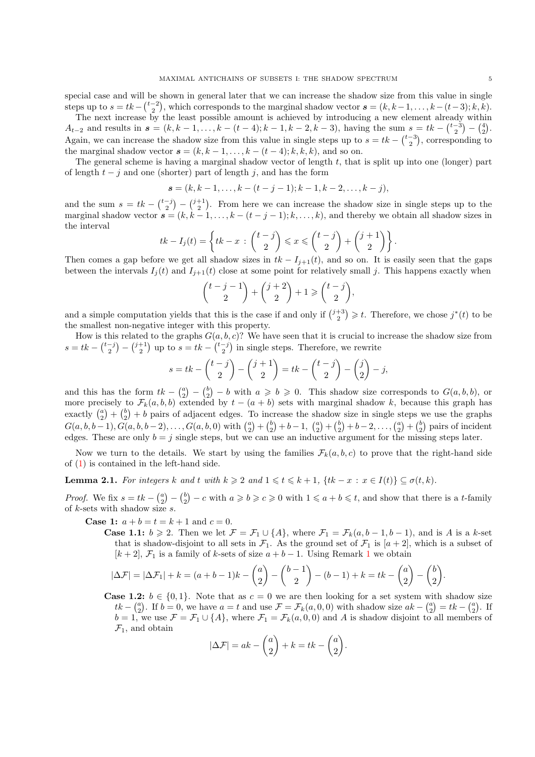special case and will be shown in general later that we can increase the shadow size from this value in single steps up to  $s = tk - {t-2 \choose 2}$ , which corresponds to the marginal shadow vector  $s = (k, k-1, \ldots, k-(t-3); k, k)$ .

The next increase by the least possible amount is achieved by introducing a new element already within  $A_{t-2}$  and results in  $s = (k, k-1, \ldots, k-(t-4); k-1, k-2, k-3)$ , having the sum  $s = tk - \binom{t-3}{2} - \binom{4}{2}$ . Again, we can increase the shadow size from this value in single steps up to  $s = tk - \binom{t-3}{2}$ , corresponding to the marginal shadow vector  $s = (k, k-1, \ldots, k-(t-4); k, k, k)$ , and so on.

The general scheme is having a marginal shadow vector of length  $t$ , that is split up into one (longer) part of length  $t - j$  and one (shorter) part of length j, and has the form

$$
s = (k, k-1, \ldots, k-(t-j-1); k-1, k-2, \ldots, k-j),
$$

and the sum  $s = tk - \binom{t-j}{2} - \binom{j+1}{2}$ . From here we can increase the shadow size in single steps up to the marginal shadow vector  $s = (k, k-1, \ldots, k-(t-j-1); k, \ldots, k)$ , and thereby we obtain all shadow sizes in the interval

$$
tk - I_j(t) = \left\{ tk - x : \binom{t - j}{2} \leqslant x \leqslant \binom{t - j}{2} + \binom{j + 1}{2} \right\}.
$$

Then comes a gap before we get all shadow sizes in  $tk - I_{j+1}(t)$ , and so on. It is easily seen that the gaps between the intervals  $I_i(t)$  and  $I_{i+1}(t)$  close at some point for relatively small j. This happens exactly when

$$
\binom{t-j-1}{2} + \binom{j+2}{2} + 1 \geq \binom{t-j}{2},
$$

and a simple computation yields that this is the case if and only if  $\binom{j+3}{2} \geqslant t$ . Therefore, we chose  $j^*(t)$  to be the smallest non-negative integer with this property.

How is this related to the graphs  $G(a, b, c)$ ? We have seen that it is crucial to increase the shadow size from  $s = tk - \binom{t-j}{2} - \binom{j+1}{2}$  up to  $s = tk - \binom{t-j}{2}$  in single steps. Therefore, we rewrite

$$
s = tk - \binom{t - j}{2} - \binom{j + 1}{2} = tk - \binom{t - j}{2} - \binom{j}{2} - j,
$$

and this has the form  $tk - {a \choose 2} - {b \choose 2} - b$  with  $a \geq b \geq 0$ . This shadow size corresponds to  $G(a, b, b)$ , or more precisely to  $\mathcal{F}_k(a, b, b)$  extended by  $t - (a + b)$  sets with marginal shadow k, because this graph has exactly  $\binom{a}{2} + \binom{b}{2} + b$  pairs of adjacent edges. To increase the shadow size in single steps we use the graphs  $G(a, b, b-1), G(a, b, b-2), \ldots, G(a, b, 0)$  with  $\binom{a}{2} + \binom{b}{2} + b - 1$ ,  $\binom{a}{2} + \binom{b}{2} + b - 2, \ldots, \binom{a}{2} + \binom{b}{2}$  pairs of incident edges. These are only  $b = j$  single steps, but we can use an inductive argument for the missing steps later.

<span id="page-4-0"></span>Now we turn to the details. We start by using the families  $\mathcal{F}_k(a, b, c)$  to prove that the right-hand side of [\(1\)](#page-1-3) is contained in the left-hand side.

**Lemma 2.1.** For integers k and t with  $k \geq 2$  and  $1 \leq t \leq k+1$ ,  $\{tk - x : x \in I(t)\} \subseteq \sigma(t, k)$ .

*Proof.* We fix  $s = tk - \binom{a}{2} - \binom{b}{2} - c$  with  $a \geq b \geq c \geq 0$  with  $1 \leq a + b \leq t$ , and show that there is a t-family of k-sets with shadow size s.

**Case 1:**  $a + b = t = k + 1$  and  $c = 0$ .

**Case 1.1:**  $b \ge 2$ . Then we let  $\mathcal{F} = \mathcal{F}_1 \cup \{A\}$ , where  $\mathcal{F}_1 = \mathcal{F}_k(a, b-1, b-1)$ , and is A is a k-set that is shadow-disjoint to all sets in  $\mathcal{F}_1$ . As the ground set of  $\mathcal{F}_1$  is  $[a + 2]$ , which is a subset of  $[k+2], \mathcal{F}_1$  $[k+2], \mathcal{F}_1$  is a family of k-sets of size  $a+b-1$ . Using Remark 1 we obtain

$$
|\Delta \mathcal{F}| = |\Delta \mathcal{F}_1| + k = (a+b-1)k - \binom{a}{2} - \binom{b-1}{2} - (b-1) + k = tk - \binom{a}{2} - \binom{b}{2}.
$$

**Case 1.2:**  $b \in \{0,1\}$ . Note that as  $c = 0$  we are then looking for a set system with shadow size  $tk - \binom{a}{2}$ . If  $b = 0$ , we have  $a = t$  and use  $\mathcal{F} = \mathcal{F}_k(a, 0, 0)$  with shadow size  $ak - \binom{a}{2} = tk - \binom{a}{2}$ . If  $b = 1$ , we use  $\mathcal{F} = \mathcal{F}_1 \cup \{A\}$ , where  $\mathcal{F}_1 = \mathcal{F}_k(a, 0, 0)$  and A is shadow disjoint to all members of  $\mathcal{F}_1$ , and obtain

$$
|\Delta \mathcal{F}| = ak - \binom{a}{2} + k = tk - \binom{a}{2}.
$$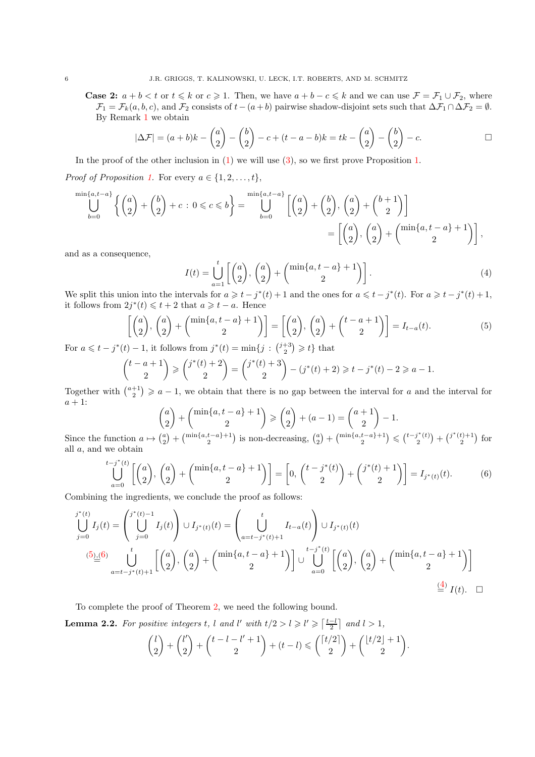**Case 2:**  $a + b < t$  or  $t \le k$  or  $c \ge 1$ . Then, we have  $a + b - c \le k$  and we can use  $\mathcal{F} = \mathcal{F}_1 \cup \mathcal{F}_2$ , where  $\mathcal{F}_1 = \mathcal{F}_k(a, b, c)$ , and  $\mathcal{F}_2$  consists of  $t-(a+b)$  pairwise shadow-disjoint sets such that  $\Delta \mathcal{F}_1 \cap \Delta \mathcal{F}_2 = \emptyset$ . By Remark [1](#page-3-2) we obtain

$$
|\Delta \mathcal{F}| = (a+b)k - \binom{a}{2} - \binom{b}{2} - c + (t-a-b)k = tk - \binom{a}{2} - \binom{b}{2} - c.
$$

In the proof of the other inclusion in [\(1\)](#page-1-3) we will use [\(3\)](#page-2-3), so we first prove Proposition [1.](#page-2-2)

*Proof of Proposition [1.](#page-2-2)* For every  $a \in \{1, 2, \ldots, t\},\$ 

$$
\bigcup_{b=0}^{\min\{a,t-a\}} \left\{ \begin{pmatrix} a \\ 2 \end{pmatrix} + \begin{pmatrix} b \\ 2 \end{pmatrix} + c : 0 \leq c \leq b \right\} = \bigcup_{b=0}^{\min\{a,t-a\}} \left[ \begin{pmatrix} a \\ 2 \end{pmatrix} + \begin{pmatrix} b \\ 2 \end{pmatrix}, \begin{pmatrix} a \\ 2 \end{pmatrix} + \begin{pmatrix} b+1 \\ 2 \end{pmatrix} \right]
$$

$$
= \left[ \begin{pmatrix} a \\ 2 \end{pmatrix}, \begin{pmatrix} a \\ 2 \end{pmatrix} + \begin{pmatrix} \min\{a,t-a\}+1 \\ 2 \end{pmatrix} \right],
$$

and as a consequence,

<span id="page-5-2"></span>
$$
I(t) = \bigcup_{a=1}^{t} \left[ \binom{a}{2}, \binom{a}{2} + \binom{\min\{a, t-a\}+1}{2} \right].
$$
\n(4)

We split this union into the intervals for  $a \geq t - j^*(t) + 1$  and the ones for  $a \leq t - j^*(t)$ . For  $a \geq t - j^*(t) + 1$ , it follows from  $2j^*(t) \leq t+2$  that  $a \geq t-a$ . Hence

<span id="page-5-0"></span>
$$
\begin{bmatrix}\n\begin{pmatrix}\na \\
2\n\end{pmatrix},\n\begin{pmatrix}\na \\
2\n\end{pmatrix} +\n\begin{pmatrix}\n\min\{a, t-a\}+1 \\
2\n\end{pmatrix}\n=\n\begin{bmatrix}\n\begin{pmatrix}\na \\
2\n\end{pmatrix},\n\begin{pmatrix}\na \\
2\n\end{pmatrix} +\n\begin{pmatrix}\nt-a+1 \\
2\n\end{pmatrix}\n\end{bmatrix}\n= I_{t-a}(t).
$$
\n(5)\n  
\n-1, it follows from  $i^*(t) = \min\{i : (j+3) > t\}$  that

For  $a \leq t - j^*(t) - 1$ , it follows from  $j^*(t) = \min\{j : \binom{j+3}{2} \geq t\}$  that

$$
\binom{t-a+1}{2} \ge \binom{j^*(t)+2}{2} = \binom{j^*(t)+3}{2} - (j^*(t)+2) \ge t - j^*(t) - 2 \ge a - 1.
$$

Together with  $\binom{a+1}{2} \geqslant a-1$ , we obtain that there is no gap between the interval for a and the interval for  $a + 1$ :

$$
\binom{a}{2} + \binom{\min\{a, t-a\}+1}{2} \geqslant \binom{a}{2} + (a-1) = \binom{a+1}{2} - 1.
$$
  

$$
\binom{a}{2} + \binom{\min\{a, t-a\}+1}{2} \text{ is non decreasing } \binom{a}{2} + \binom{\min\{a, t-a\}+1}{2} < \binom{a}{2} + \binom{\min\{a, t-a\}+1}{2} < \binom{a}{2} + \binom{\min\{a, t-a\}+1}{2} < \binom{a}{2} + \binom{\min\{a, t-a\}+1}{2} < \binom{a}{2} + \binom{\min\{a, t-a\}+1}{2} < \binom{a}{2} + \binom{\min\{a, t-a\}+1}{2} < \binom{a}{2} + \binom{\min\{a, t-a\}+1}{2} < \binom{a}{2} + \binom{\min\{a, t-a\}+1}{2} < \binom{a}{2} + \binom{\min\{a, t-a\}+1}{2} < \binom{a}{2} + \binom{\min\{a, t-a\}+1}{2} < \binom{a}{2} + \binom{\min\{a, t-a\}+1}{2} < \binom{a}{2} + \binom{\min\{a, t-a\}+1}{2} < \binom{a}{2} + \binom{\min\{a, t-a\}+1}{2} < \binom{a}{2} + \binom{\min\{a, t-a\}+1}{2} < \binom{a}{2} + \binom{\min\{a, t-a\}+1}{2} < \binom{a}{2} + \binom{\min\{a, t-a\}+1}{2} < \binom{a}{2} + \binom{\min\{a, t-a\}+1}{2} < \binom{a}{2} + \binom{\min\{a, t-a\}+1}{2} < \binom{a}{2} + \binom{\min\{a, t-a\}+1}{2} < \binom{a}{2} + \binom{\min\{a, t-a\}+1}{2} < \binom{a}{2} + \binom{\min\{a, t-a\}+1}{2} < \binom{a}{2} + \binom{\min\{a, t-a\}+1}{2}
$$

Since the function  $a \mapsto {a \choose 2} + {\min\{a, t-a\}+1 \choose 2}$  is non-decreasing,  ${a \choose 2} + {\min\{a, t-a\}+1 \choose 2} \leq {t-j^*(t) \choose 2} + {j^*(t)+1 \choose 2}$  for all a, and we obtain

<span id="page-5-1"></span>
$$
\bigcup_{a=0}^{t-j^*(t)} \left[ \binom{a}{2}, \binom{a}{2} + \binom{\min\{a, t-a\}+1}{2} \right] = \left[ 0, \binom{t-j^*(t)}{2} + \binom{j^*(t)+1}{2} \right] = I_{j^*(t)}(t). \tag{6}
$$

Combining the ingredients, we conclude the proof as follows:

$$
\bigcup_{j=0}^{j^*(t)} I_j(t) = \left( \bigcup_{j=0}^{j^*(t)-1} I_j(t) \right) \cup I_{j^*(t)}(t) = \left( \bigcup_{a=t-j^*(t)+1}^{t} I_{t-a}(t) \right) \cup I_{j^*(t)}(t)
$$
\n
$$
\xrightarrow{(5)} \bigcup_{a=t-j^*(t)+1}^{t} \left[ \binom{a}{2}, \binom{a}{2} + \binom{\min\{a, t-a\} + 1}{2} \right] \cup \bigcup_{a=0}^{t-j^*(t)} \left[ \binom{a}{2}, \binom{a}{2} + \binom{\min\{a, t-a\} + 1}{2} \right]
$$
\n
$$
\xrightarrow{(4)} I(t). \quad \Box
$$

<span id="page-5-3"></span>To complete the proof of Theorem [2,](#page-1-2) we need the following bound.

**Lemma 2.2.** For positive integers t, l and l' with  $t/2 > l \ge l' \ge \lceil \frac{t-l}{2} \rceil$  and  $l > 1$ ,

$$
\binom{l}{2} + \binom{l'}{2} + \binom{t-l-l'+1}{2} + (t-l) \leq \binom{\lceil t/2 \rceil}{2} + \binom{\lfloor t/2 \rfloor + 1}{2}.
$$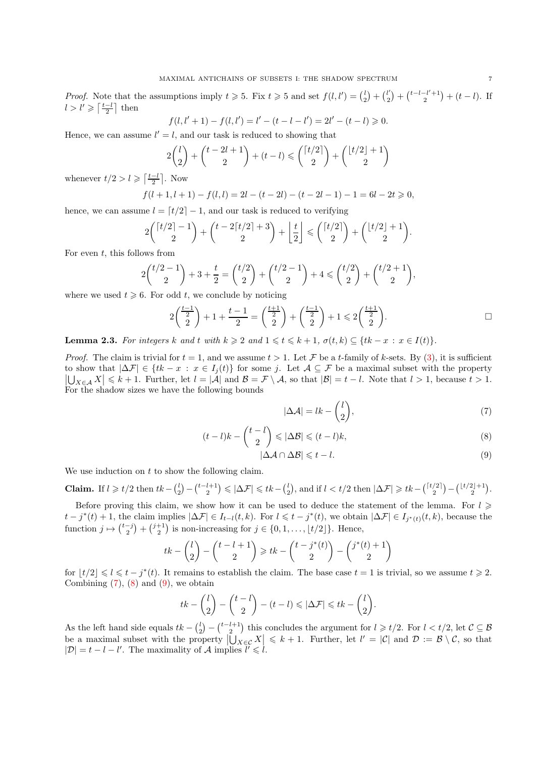*Proof.* Note that the assumptions imply  $t \ge 5$ . Fix  $t \ge 5$  and set  $f(l, l') = \binom{l}{2} + \binom{l'}{2}$  $\binom{l'}{2} + \binom{t-l-l'+1}{2} + (t-l).$  If  $l > l' \geqslant \left\lceil \frac{t-l}{2} \right\rceil$  then

$$
f(l, l'+1) - f(l, l') = l' - (t - l - l') = 2l' - (t - l) \ge 0.
$$

Hence, we can assume  $l' = l$ , and our task is reduced to showing that

$$
2\binom{l}{2} + \binom{t-2l+1}{2} + (t-l) \leq \binom{\lceil t/2 \rceil}{2} + \binom{\lfloor t/2 \rfloor + 1}{2}
$$

whenever  $t/2 > l \geqslant \lceil \frac{t-l}{2} \rceil$ . Now

$$
f(l+1, l+1) - f(l, l) = 2l - (t - 2l) - (t - 2l - 1) - 1 = 6l - 2t \ge 0,
$$

hence, we can assume  $l = \lceil t/2 \rceil - 1$ , and our task is reduced to verifying

$$
2\binom{\lceil t/2 \rceil - 1}{2} + \binom{t - 2\lceil t/2 \rceil + 3}{2} + \left\lfloor \frac{t}{2} \right\rfloor \le \binom{\lceil t/2 \rceil}{2} + \binom{\lfloor t/2 \rfloor + 1}{2}.
$$

For even  $t$ , this follows from

$$
2\binom{t/2-1}{2} + 3 + \frac{t}{2} = \binom{t/2}{2} + \binom{t/2-1}{2} + 4 \le \binom{t/2}{2} + \binom{t/2+1}{2},
$$

where we used  $t \geq 6$ . For odd t, we conclude by noticing

$$
2\left(\frac{\frac{t-1}{2}}{2}\right) + 1 + \frac{t-1}{2} = \left(\frac{\frac{t+1}{2}}{2}\right) + \left(\frac{\frac{t-1}{2}}{2}\right) + 1 \leq 2\left(\frac{\frac{t+1}{2}}{2}\right).
$$

<span id="page-6-0"></span>**Lemma 2.3.** For integers k and t with  $k \geq 2$  and  $1 \leq t \leq k+1$ ,  $\sigma(t, k) \subseteq \{tk - x : x \in I(t)\}.$ 

*Proof.* The claim is trivial for  $t = 1$ , and we assume  $t > 1$ . Let F be a t-family of k-sets. By [\(3\)](#page-2-3), it is sufficient to show that  $|\Delta \mathcal{F}| \in \{tk - x : x \in I_j(t)\}\)$  for some j. Let  $\mathcal{A} \subseteq \mathcal{F}$  be a maximal subset with the property  $\left|\bigcup_{X \in \mathcal{A}} X\right| \leq k+1$ . Further, let  $l = |\mathcal{A}|$  and  $\mathcal{B} = \mathcal{F} \setminus \mathcal{A}$ , so that  $|\mathcal{B}| = t - l$ . Note that  $l > 1$ , because  $t > 1$ . For the shadow sizes we have the following bounds

<span id="page-6-3"></span><span id="page-6-2"></span><span id="page-6-1"></span>
$$
|\Delta \mathcal{A}| = lk - \binom{l}{2},\tag{7}
$$

$$
(t-l)k - \binom{t-l}{2} \le |\Delta \mathcal{B}| \le (t-l)k,\tag{8}
$$

$$
|\Delta \mathcal{A} \cap \Delta \mathcal{B}| \leq t - l. \tag{9}
$$

We use induction on  $t$  to show the following claim.

Claim. If  $l \geq t/2$  then  $tk - \binom{l}{2} - \binom{t-l+1}{2} \leq \left|\Delta \mathcal{F}\right| \leq tk - \binom{l}{2}$ , and if  $l < t/2$  then  $\left|\Delta \mathcal{F}\right| \geq tk - \binom{\lceil t/2 \rceil}{2} - \binom{\lfloor t/2 \rfloor + 1}{2}$ . Before proving this claim, we show how it can be used to deduce the statement of the lemma. For  $l \geq$ 

 $t - j^*(t) + 1$ , the claim implies  $|\Delta \mathcal{F}| \in I_{t-l}(t, k)$ . For  $l \leq t - j^*(t)$ , we obtain  $|\Delta \mathcal{F}| \in I_{j^*(t)}(t, k)$ , because the function  $j \mapsto {\binom{t-j}{2}} + {\binom{j+1}{2}}$  is non-increasing for  $j \in \{0, 1, \ldots, \lfloor t/2 \rfloor\}$ . Hence,

$$
tk - \binom{l}{2} - \binom{t-l+1}{2} \geqslant tk - \binom{t-j^*(t)}{2} - \binom{j^*(t)+1}{2}
$$

for  $\lfloor t/2 \rfloor \leq l \leq t - j^*(t)$ . It remains to establish the claim. The base case  $t = 1$  is trivial, so we assume  $t \geq 2$ . Combining  $(7)$ ,  $(8)$  and  $(9)$ , we obtain

$$
tk - \binom{l}{2} - \binom{t-l}{2} - (t-l) \leq |\Delta \mathcal{F}| \leq tk - \binom{l}{2}.
$$

As the left hand side equals  $tk - \binom{l}{2} - \binom{t-l+1}{2}$  this concludes the argument for  $l \geq t/2$ . For  $l < t/2$ , let  $C \subseteq \mathcal{B}$ be a maximal subset with the property  $\left|\bigcup_{X \in \mathcal{C}} X\right| \leq k+1$ . Further, let  $l' = |\mathcal{C}|$  and  $\mathcal{D} := \mathcal{B} \setminus \mathcal{C}$ , so that  $|\mathcal{D}| = t - l - l'$ . The maximality of A implies  $l' \leq l$ .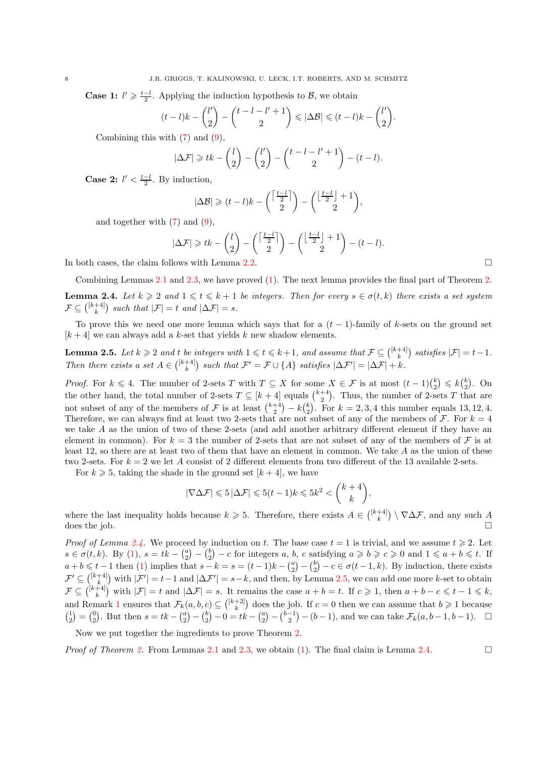**Case 1:**  $l' \geq \frac{t-l}{2}$ . Applying the induction hypothesis to  $\beta$ , we obtain

$$
(t-l)k - \binom{l'}{2} - \binom{t-l-l'+1}{2} \leqslant |\Delta \mathcal{B}| \leqslant (t-l)k - \binom{l'}{2}.
$$

Combining this with  $(7)$  and  $(9)$ ,

$$
|\Delta \mathcal{F}| \geqslant tk - \binom{l}{2} - \binom{l'}{2} - \binom{t-l-l'+1}{2} - (t-l).
$$

**Case 2:**  $l' < \frac{t-l}{2}$ . By induction,

$$
|\Delta \mathcal{B}| \geqslant (t-l)k - \binom{\lceil \frac{t-l}{2} \rceil}{2} - \binom{\lfloor \frac{t-l}{2} \rfloor + 1}{2},
$$

and together with  $(7)$  and  $(9)$ ,

$$
|\Delta \mathcal{F}| \geqslant tk - \binom{l}{2} - \binom{\lceil \frac{t-l}{2} \rceil}{2} - \binom{\lfloor \frac{t-l}{2} \rfloor + 1}{2} - (t-l).
$$

In both cases, the claim follows with Lemma [2.2.](#page-5-3)

<span id="page-7-0"></span>Combining Lemmas [2.1](#page-4-0) and [2.3,](#page-6-0) we have proved [\(1\)](#page-1-3). The next lemma provides the final part of Theorem [2.](#page-1-2)

**Lemma 2.4.** Let  $k \geq 2$  and  $1 \leq t \leq k+1$  be integers. Then for every  $s \in \sigma(t,k)$  there exists a set system  $\mathcal{F} \subseteq \binom{[k+4]}{k}$  such that  $|\mathcal{F}| = t$  and  $|\Delta \mathcal{F}| = s$ .

<span id="page-7-1"></span>To prove this we need one more lemma which says that for a  $(t - 1)$ -family of k-sets on the ground set  $[k+4]$  we can always add a k-set that yields k new shadow elements.

**Lemma 2.5.** Let  $k \geq 2$  and t be integers with  $1 \leq t \leq k+1$ , and assume that  $\mathcal{F} \subseteq \binom{[k+4]}{k}$  satisfies  $|\mathcal{F}| = t-1$ . Then there exists a set  $A \in \binom{[k+4]}{k}$  such that  $\mathcal{F}' = \mathcal{F} \cup \{A\}$  satisfies  $|\Delta \mathcal{F}'| = |\Delta \mathcal{F}| + k$ .

*Proof.* For  $k \le 4$ . The number of 2-sets T with  $T \subseteq X$  for some  $X \in \mathcal{F}$  is at most  $(t-1)\binom{k}{2} \le k\binom{k}{2}$ . On the other hand, the total number of 2-sets  $T \subseteq [k+4]$  equals  $\binom{k+4}{2}$ . Thus, the number of 2-sets T that are not subset of any of the members of F is at least  $\binom{k+4}{2} - k\binom{k}{2}$ . For  $k = 2, 3, 4$  this number equals 13, 12, 4. Therefore, we can always find at least two 2-sets that are not subset of any of the members of F. For  $k = 4$ we take A as the union of two of these 2-sets (and add another arbitrary different element if they have an element in common). For  $k = 3$  the number of 2-sets that are not subset of any of the members of F is at least 12, so there are at least two of them that have an element in common. We take A as the union of these two 2-sets. For  $k = 2$  we let A consist of 2 different elements from two different of the 13 available 2-sets.

For  $k \geq 5$ , taking the shade in the ground set  $[k+4]$ , we have

$$
|\nabla \Delta \mathcal{F}| \leqslant 5 |\Delta \mathcal{F}| \leqslant 5(t-1)k \leqslant 5k^2 < \binom{k+4}{k},
$$

where the last inequality holds because  $k \geq 5$ . Therefore, there exists  $A \in \binom{[k+4]}{k} \setminus \nabla \Delta \mathcal{F}$ , and any such  $A$ does the job.  $\square$ 

*Proof of Lemma [2.4.](#page-7-0)* We proceed by induction on t. The base case  $t = 1$  is trivial, and we assume  $t \ge 2$ . Let  $s \in \sigma(t, k)$ . By [\(1\)](#page-1-3),  $s = tk - {a \choose 2} - {b \choose 2} - c$  for integers a, b, c satisfying  $a \geq b \geq c \geq 0$  and  $1 \leq a + b \leq t$ . If  $a+b \leq t-1$  then [\(1\)](#page-1-3) implies that  $s-k=s=(t-1)k-\binom{a}{2}-\binom{b}{2}-c \in \sigma(t-1,k)$ . By induction, there exists  $\mathcal{F}' \subseteq {[k+4] \choose k}$  with  $|\mathcal{F}'| = t-1$  and  $|\Delta \mathcal{F}'| = s-k$ , and then, by Lemma [2.5,](#page-7-1) we can add one more k-set to obtain  $\mathcal{F} \subseteq \binom{[k+4]}{k}$  with  $|\mathcal{F}| = t$  and  $|\Delta \mathcal{F}| = s$ . It remains the case  $a + b = t$ . If  $c \geq 1$ , then  $a + b - c \leq t - 1 \leq k$ , and Remark [1](#page-3-2) ensures that  $\mathcal{F}_k(a, b, c) \subseteq \binom{[k+2]}{k}$  does the job. If  $c = 0$  then we can assume that  $b \geq 1$  because  $\binom{1}{2} = \binom{0}{2}$ . But then  $s = tk - \binom{a}{2} - \binom{b}{2} - 0 = tk - \binom{a}{2} - \binom{b-1}{2} - (b-1)$ , and we can take  $\mathcal{F}_k(a, b-1, b-1)$ .  $\Box$ 

Now we put together the ingredients to prove Theorem [2.](#page-1-2)

*Proof of Theorem [2.](#page-1-2)* From Lemmas [2.1](#page-4-0) and [2.3,](#page-6-0) we obtain [\(1\)](#page-1-3). The final claim is Lemma [2.4.](#page-7-0)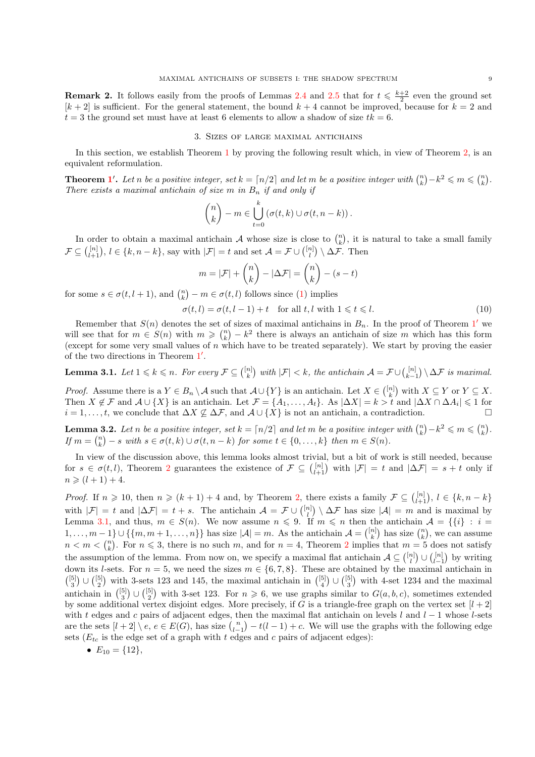**Remark 2.** It follows easily from the proofs of Lemmas [2.4](#page-7-0) and [2.5](#page-7-1) that for  $t \leq \frac{k+2}{2}$  even the ground set  $[k+2]$  is sufficient. For the general statement, the bound  $k+4$  cannot be improved, because for  $k=2$  and  $t = 3$  the ground set must have at least 6 elements to allow a shadow of size  $tk = 6$ .

### 3. Sizes of large maximal antichains

<span id="page-8-1"></span><span id="page-8-0"></span>In this section, we establish Theorem [1](#page-1-1) by proving the following result which, in view of Theorem [2,](#page-1-2) is an equivalent reformulation.

**Theorem [1](#page-1-1)'.** Let n be a positive integer, set  $k = \lceil n/2 \rceil$  and let m be a positive integer with  $\binom{n}{k} - k^2 \leq m \leq \binom{n}{k}$ . There exists a maximal antichain of size m in  $B_n$  if and only if

$$
\binom{n}{k}-m\in \bigcup_{t=0}^k\left(\sigma(t,k)\cup \sigma(t,n-k)\right).
$$

In order to obtain a maximal antichain A whose size is close to  $\binom{n}{k}$ , it is natural to take a small family  $\mathcal{F} \subseteq \binom{[n]}{l+1}, l \in \{k, n-k\}$ , say with  $|\mathcal{F}| = t$  and set  $\mathcal{A} = \mathcal{F} \cup \binom{[n]}{l} \setminus \Delta \mathcal{F}$ . Then

$$
m = |\mathcal{F}| + \binom{n}{k} - |\Delta \mathcal{F}| = \binom{n}{k} - (s - t)
$$

for some  $s \in \sigma(t, l + 1)$ , and  $\binom{n}{k} - m \in \sigma(t, l)$  follows since [\(1\)](#page-1-3) implies

<span id="page-8-4"></span>
$$
\sigma(t,l) = \sigma(t,l-1) + t \quad \text{for all } t, l \text{ with } 1 \leq t \leq l. \tag{10}
$$

Remember that  $S(n)$  denotes the set of sizes of maximal antichains in  $B_n$ . In the proof of Theorem [1](#page-8-1)' we will see that for  $m \in S(n)$  with  $m \geqslant {n \choose k} - k^2$  there is always an antichain of size m which has this form (except for some very small values of  $n$  which have to be treated separately). We start by proving the easier of the two directions in Theorem [1](#page-8-1)'.

<span id="page-8-2"></span>**Lemma 3.1.** Let  $1 \leq k \leq n$ . For every  $\mathcal{F} \subseteq \binom{[n]}{k}$  with  $|\mathcal{F}| < k$ , the antichain  $\mathcal{A} = \mathcal{F} \cup \binom{[n]}{k-1} \setminus \Delta \mathcal{F}$  is maximal.

*Proof.* Assume there is a  $Y \in B_n \setminus A$  such that  $A \cup \{Y\}$  is an antichain. Let  $X \in \binom{[n]}{k}$  with  $X \subseteq Y$  or  $Y \subseteq X$ . Then  $X \notin \mathcal{F}$  and  $\mathcal{A} \cup \{X\}$  is an antichain. Let  $\mathcal{F} = \{A_1, \ldots, A_t\}$ . As  $|\Delta X| = k > t$  and  $|\Delta X \cap \Delta A_i| \leq 1$  for  $i = 1, \ldots, t$ , we conclude that  $\Delta X \not\subseteq \Delta \mathcal{F}$ , and  $\mathcal{A} \cup \{X\}$  is not an antichain, a contradiction.

<span id="page-8-3"></span>**Lemma 3.2.** Let n be a positive integer, set  $k = \lceil n/2 \rceil$  and let m be a positive integer with  $\binom{n}{k} - k^2 \leq m \leq \binom{n}{k}$ . If  $m = \binom{n}{k} - s$  with  $s \in \sigma(t, k) \cup \sigma(t, n - k)$  for some  $t \in \{0, \ldots, k\}$  then  $m \in S(n)$ .

In view of the discussion above, this lemma looks almost trivial, but a bit of work is still needed, because for  $s \in \sigma(t, l)$ , Theorem [2](#page-1-2) guarantees the existence of  $\mathcal{F} \subseteq \binom{[n]}{l+1}$  with  $|\mathcal{F}| = t$  and  $|\Delta \mathcal{F}| = s + t$  only if  $n \geq (l + 1) + 4.$ 

*Proof.* If  $n \geq 10$ , then  $n \geq (k+1)+4$  and, by Theorem [2,](#page-1-2) there exists a family  $\mathcal{F} \subseteq \binom{[n]}{l+1}, l \in \{k, n-k\}$ with  $|\mathcal{F}| = t$  and  $|\Delta \mathcal{F}| = t + s$ . The antichain  $\mathcal{A} = \mathcal{F} \cup {\binom{[n]}{l}} \setminus \Delta \mathcal{F}$  has size  $|\mathcal{A}| = m$  and is maximal by Lemma [3.1,](#page-8-2) and thus,  $m \in S(n)$ . We now assume  $n \leq 9$ . If  $m \leq n$  then the antichain  $\mathcal{A} = \{\{i\} : i =$  $1, \ldots, m-1$   $\cup$   $\{ \{m, m+1, \ldots, n\} \}$  has size  $|\mathcal{A}| = m$ . As the antichain  $\mathcal{A} = \binom{[n]}{k}$  has size  $\binom{n}{k}$ , we can assume  $n < m < {n \choose k}$ . For  $n \le 3$ , there is no such m, and for  $n = 4$ , Theorem [2](#page-1-2) implies that  $m = 5$  does not satisfy the assumption of the lemma. From now on, we specify a maximal flat antichain  $\mathcal{A} \subseteq \binom{[n]}{l} \cup \binom{[n]}{l-1}$  by writing down its l-sets. For  $n = 5$ , we need the sizes  $m \in \{6, 7, 8\}$ . These are obtained by the maximal antichain in  $\binom{[5]}{3}$   $\cup$   $\binom{[5]}{2}$  with 3-sets 123 and 145, the maximal antichain in  $\binom{[5]}{4}$   $\cup$   $\binom{[5]}{3}$  with 4-set 1234 and the maximal antichain in  $\binom{5}{3}$   $\cup$   $\binom{5}{2}$  with 3-set 123. For  $n \ge 6$ , we use graphs similar to  $G(a, b, c)$ , sometimes extended by some additional vertex disjoint edges. More precisely, if G is a triangle-free graph on the vertex set  $[l+2]$ with t edges and c pairs of adjacent edges, then the maximal flat antichain on levels l and  $l-1$  whose l-sets are the sets  $[l + 2] \setminus e, e \in E(G)$ , has size  $\binom{n}{l-1} - t(l-1) + c$ . We will use the graphs with the following edge sets ( $E_{tc}$  is the edge set of a graph with t edges and c pairs of adjacent edges):

• 
$$
E_{10} = \{12\},\
$$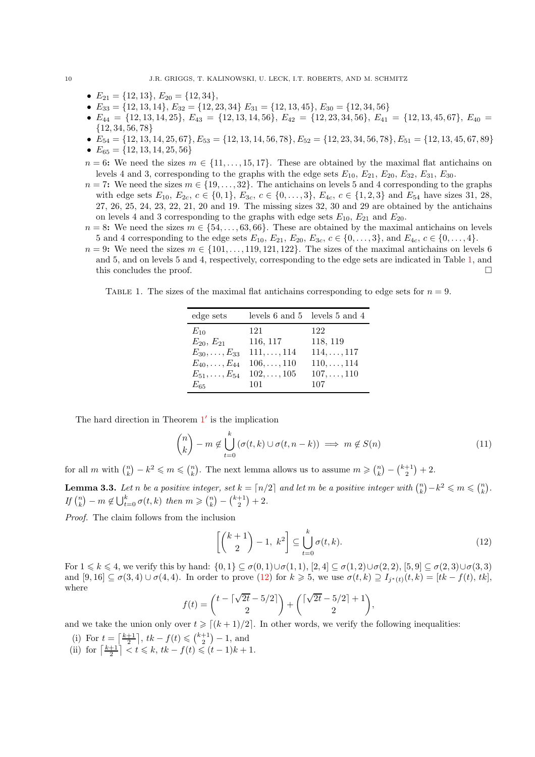- $E_{21} = \{12, 13\}, E_{20} = \{12, 34\},$
- $E_{33} = \{12, 13, 14\}, E_{32} = \{12, 23, 34\}, E_{31} = \{12, 13, 45\}, E_{30} = \{12, 34, 56\}$
- $E_{44} = \{12, 13, 14, 25\}, E_{43} = \{12, 13, 14, 56\}, E_{42} = \{12, 23, 34, 56\}, E_{41} = \{12, 13, 45, 67\}, E_{40} =$ {12, 34, 56, 78}
- $E_{54} = \{12, 13, 14, 25, 67\}, E_{53} = \{12, 13, 14, 56, 78\}, E_{52} = \{12, 23, 34, 56, 78\}, E_{51} = \{12, 13, 45, 67, 89\}$
- $E_{65} = \{12, 13, 14, 25, 56\}$
- $n = 6$ : We need the sizes  $m \in \{11, \ldots, 15, 17\}$ . These are obtained by the maximal flat antichains on levels 4 and 3, corresponding to the graphs with the edge sets  $E_{10}$ ,  $E_{21}$ ,  $E_{20}$ ,  $E_{32}$ ,  $E_{31}$ ,  $E_{30}$ .
- $n = 7$ : We need the sizes  $m \in \{19, \ldots, 32\}$ . The antichains on levels 5 and 4 corresponding to the graphs with edge sets  $E_{10}$ ,  $E_{2c}$ ,  $c \in \{0, 1\}$ ,  $E_{3c}$ ,  $c \in \{0, \ldots, 3\}$ ,  $E_{4c}$ ,  $c \in \{1, 2, 3\}$  and  $E_{54}$  have sizes 31, 28, 27, 26, 25, 24, 23, 22, 21, 20 and 19. The missing sizes 32, 30 and 29 are obtained by the antichains on levels 4 and 3 corresponding to the graphs with edge sets  $E_{10}$ ,  $E_{21}$  and  $E_{20}$ .
- $n = 8$ : We need the sizes  $m \in \{54, \ldots, 63, 66\}$ . These are obtained by the maximal antichains on levels 5 and 4 corresponding to the edge sets  $E_{10}$ ,  $E_{21}$ ,  $E_{20}$ ,  $E_{3c}$ ,  $c \in \{0, \ldots, 3\}$ , and  $E_{4c}$ ,  $c \in \{0, \ldots, 4\}$ .
- $n = 9$ : We need the sizes  $m \in \{101, \ldots, 119, 121, 122\}$ . The sizes of the maximal antichains on levels 6 and 5, and on levels 5 and 4, respectively, corresponding to the edge sets are indicated in Table [1,](#page-9-0) and this concludes the proof.  $\Box$

TABLE 1. The sizes of the maximal flat antichains corresponding to edge sets for  $n = 9$ .

<span id="page-9-0"></span>

| edge sets                |                    | levels $6$ and $5$ levels $5$ and $4$ |  |  |
|--------------------------|--------------------|---------------------------------------|--|--|
| $E_{10}$                 | 121                | 122                                   |  |  |
| $E_{20}$ , $E_{21}$      | 116, 117           | 118, 119                              |  |  |
| $E_{30}, \ldots, E_{33}$ | $111, \ldots, 114$ | $114, \ldots, 117$                    |  |  |
| $E_{40}, \ldots, E_{44}$ | $106, \ldots, 110$ | $110, \ldots, 114$                    |  |  |
| $E_{51}, \ldots, E_{54}$ | $102, \ldots, 105$ | $107, \ldots, 110$                    |  |  |
| $E_{65}$                 | 101                | 107                                   |  |  |

The hard direction in Theorem  $1'$  $1'$  is the implication

<span id="page-9-3"></span>
$$
\binom{n}{k} - m \notin \bigcup_{t=0}^{k} \left( \sigma(t, k) \cup \sigma(t, n - k) \right) \implies m \notin S(n) \tag{11}
$$

<span id="page-9-2"></span>for all m with  $\binom{n}{k} - k^2 \leq m \leq \binom{n}{k}$ . The next lemma allows us to assume  $m \geq \binom{n}{k} - \binom{k+1}{2} + 2$ .

**Lemma 3.3.** Let n be a positive integer, set  $k = \lceil n/2 \rceil$  and let m be a positive integer with  $\binom{n}{k} - k^2 \leq m \leq \binom{n}{k}$ . If  $\binom{n}{k} - m \notin \bigcup_{t=0}^{k} \sigma(t, k)$  then  $m \geqslant \binom{n}{k} - \binom{k+1}{2} + 2$ .

Proof. The claim follows from the inclusion

<span id="page-9-1"></span>
$$
\left[ \binom{k+1}{2} - 1, \ k^2 \right] \subseteq \bigcup_{t=0}^{k} \sigma(t, k). \tag{12}
$$

For  $1 \leq k \leq 4$ , we verify this by hand:  $\{0,1\} \subseteq \sigma(0,1) \cup \sigma(1,1)$ ,  $[2,4] \subseteq \sigma(1,2) \cup \sigma(2,2)$ ,  $[5,9] \subseteq \sigma(2,3) \cup \sigma(3,3)$ and  $[9, 16] \subseteq \sigma(3, 4) \cup \sigma(4, 4)$ . In order to prove  $(12)$  for  $k \geq 5$ , we use  $\sigma(t, k) \supseteq I_{j^*(t)}(t, k) = [tk - f(t), tk]$ , where

$$
f(t) = {t - \lceil \sqrt{2t - 5/2} \rceil \choose 2} + \binom{\lceil \sqrt{2t - 5/2} \rceil + 1}{2},
$$

and we take the union only over  $t \geq \lfloor (k+1)/2 \rfloor$ . In other words, we verify the following inequalities:

- (i) For  $t = \left[\frac{k+1}{2}\right]$ ,  $tk f(t) \leq \binom{k+1}{2} 1$ , and
- (ii) for  $\left\lceil \frac{k+1}{2} \right\rceil < t \leq k$ ,  $tk f(t) \leq (t-1)k + 1$ .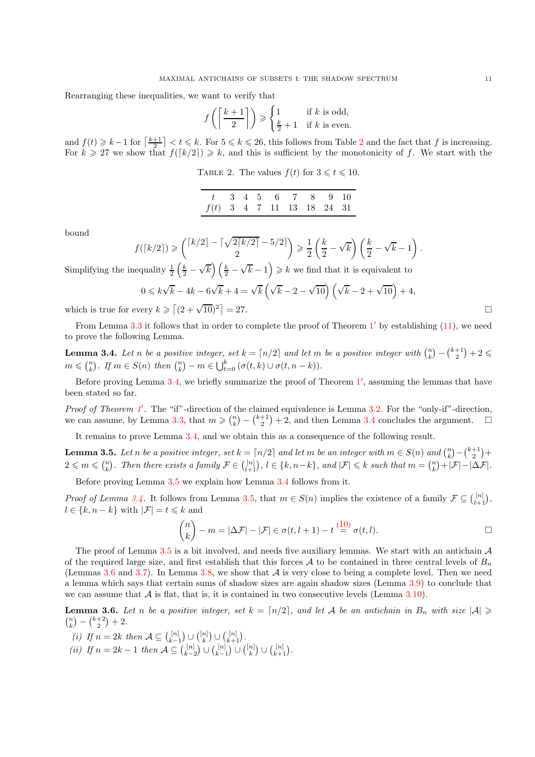Rearranging these inequalities, we want to verify that

$$
f\left(\left\lceil\frac{k+1}{2}\right\rceil\right) \geqslant \begin{cases} 1 & \text{if } k \text{ is odd,} \\ \frac{k}{2} + 1 & \text{if } k \text{ is even.} \end{cases}
$$

and  $f(t) \geq k-1$  for  $\left\lceil \frac{k+1}{2} \right\rceil < t \leq k$  $\left\lceil \frac{k+1}{2} \right\rceil < t \leq k$  $\left\lceil \frac{k+1}{2} \right\rceil < t \leq k$ . For  $5 \leq k \leq 26$ , this follows from Table 2 and the fact that f is increasing. For  $k \geq 27$  we show that  $f([k/2]) \geq k$ , and this is sufficient by the monotonicity of f. We start with the

TABLE 2. The values  $f(t)$  for  $3 \le t \le 10$ .

<span id="page-10-0"></span>

| $t$ 3 4 5 6 7 8 9 10        |  |  |  |  |
|-----------------------------|--|--|--|--|
| $f(t)$ 3 4 7 11 13 18 24 31 |  |  |  |  |

bound

$$
f(\lceil k/2 \rceil) \geq \binom{\lceil k/2 \rceil - \lceil \sqrt{2\lceil k/2 \rceil} - 5/2 \rceil}{2} \geq \frac{1}{2} \left( \frac{k}{2} - \sqrt{k} \right) \left( \frac{k}{2} - \sqrt{k} - 1 \right).
$$

Simplifying the inequality  $\frac{1}{2} \left( \frac{k}{2} - \frac{1}{2} \right)$  $\sqrt{k}$ )  $\left(\frac{k}{2}-\right)$  $(\sqrt{k}-1) \geq k$  we find that it is equivalent to

$$
0 \le k\sqrt{k} - 4k - 6\sqrt{k} + 4 = \sqrt{k} \left(\sqrt{k} - 2 - \sqrt{10}\right) \left(\sqrt{k} - 2 + \sqrt{10}\right) + 4,
$$
  
very  $k \ge \left[ (2 + \sqrt{10})^2 \right] = 27.$ 

which is true for every  $k \geqslant \left[ (2 + \sqrt{10})^2 \right]$ 

<span id="page-10-1"></span>From Lemma [3.3](#page-9-2) it follows that in order to complete the proof of Theorem  $1'$  $1'$  by establishing  $(11)$ , we need to prove the following Lemma.

**Lemma 3.4.** Let n be a positive integer, set  $k = \lceil n/2 \rceil$  and let m be a positive integer with  $\binom{n}{k} - \binom{k+1}{2} + 2 \leq$  $m \leqslant {n \choose k}$ . If  $m \in S(n)$  then  ${n \choose k} - m \in \bigcup_{t=0}^{k} (\sigma(t, k) \cup \sigma(t, n - k))$ .

Before proving Lemma [3.4,](#page-10-1) we briefly summarize the proof of Theorem [1](#page-8-1)', assuming the lemmas that have been stated so far.

*Proof of Theorem [1](#page-8-1)'*. The "if"-direction of the claimed equivalence is Lemma [3.2.](#page-8-3) For the "only-if"-direction, we can assume, by Lemma [3.3,](#page-9-2) that  $m \geq {n \choose k} - {k+1 \choose 2} + 2$ , and then Lemma [3.4](#page-10-1) concludes the argument.  $\Box$ 

<span id="page-10-2"></span>It remains to prove Lemma [3.4,](#page-10-1) and we obtain this as a consequence of the following result.

**Lemma 3.5.** Let n be a positive integer, set  $k = \lfloor n/2 \rfloor$  and let m be an integer with  $m \in S(n)$  and  $\binom{n}{k} - \binom{k+1}{2} + \binom{k+1}{2}$  $2 \leqslant m \leqslant {n \choose k}$ . Then there exists a family  $\mathcal{F} \in \binom{[n]}{l+1}$ ,  $l \in \{k, n-k\}$ , and  $|\mathcal{F}| \leqslant k$  such that  $m = \binom{n}{k} + |\mathcal{F}| - |\Delta \mathcal{F}|$ .

Before proving Lemma [3.5](#page-10-2) we explain how Lemma [3.4](#page-10-1) follows from it.

*Proof of Lemma [3.4.](#page-10-1)* It follows from Lemma [3.5,](#page-10-2) that  $m \in S(n)$  implies the existence of a family  $\mathcal{F} \subseteq \binom{[n]}{l+1}$ ,  $l \in \{k, n-k\}$  with  $|\mathcal{F}| = t \leq k$  and

$$
\binom{n}{k}-m=|\Delta\mathcal{F}|-|\mathcal{F}|\in\sigma(t,l+1)-t\stackrel{(10)}{=}\sigma(t,l).
$$

The proof of Lemma [3.5](#page-10-2) is a bit involved, and needs five auxiliary lemmas. We start with an antichain  $A$ of the required large size, and first establish that this forces A to be contained in three central levels of  $B_n$ (Lemmas [3.6](#page-10-3) and [3.7\)](#page-11-0). In Lemma [3.8,](#page-11-1) we show that  $A$  is very close to being a complete level. Then we need a lemma which says that certain sums of shadow sizes are again shadow sizes (Lemma [3.9\)](#page-12-0) to conclude that we can assume that  $A$  is flat, that is, it is contained in two consecutive levels (Lemma [3.10\)](#page-14-0).

<span id="page-10-3"></span>**Lemma 3.6.** Let n be a positive integer, set  $k = \lfloor n/2 \rfloor$ , and let A be an antichain in  $B_n$  with size  $|A| \geq$  $\binom{n}{k} - \binom{k+2}{2} + 2.$ 

- (i) If  $n = 2k$  then  $\mathcal{A} \subseteq \binom{[n]}{k-1} \cup \binom{[n]}{k} \cup \binom{[n]}{k+1}$ .
- (ii) If  $n = 2k 1$  then  $\mathcal{A} \subseteq \binom{[n]}{k-2} \cup \binom{[n]}{k-1} \cup \binom{[n]}{k} \cup \binom{[n]}{k+1}$ .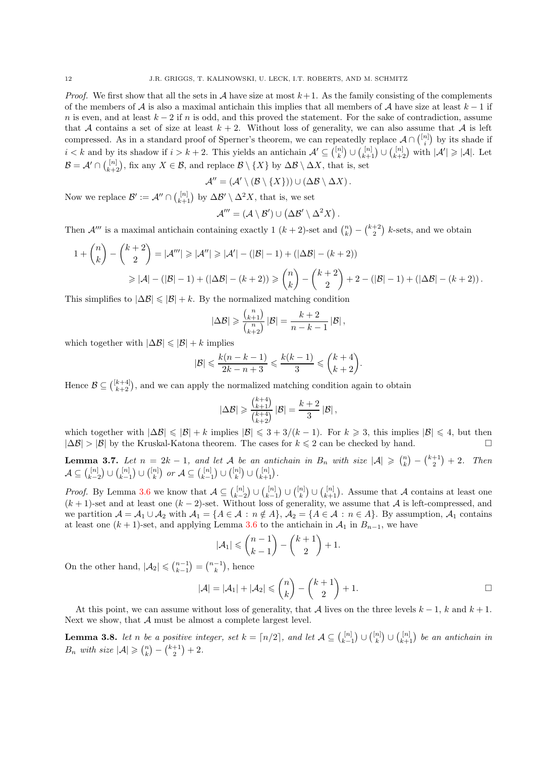*Proof.* We first show that all the sets in A have size at most  $k+1$ . As the family consisting of the complements of the members of A is also a maximal antichain this implies that all members of A have size at least  $k - 1$  if n is even, and at least  $k-2$  if n is odd, and this proved the statement. For the sake of contradiction, assume that A contains a set of size at least  $k + 2$ . Without loss of generality, we can also assume that A is left compressed. As in a standard proof of Sperner's theorem, we can repeatedly replace  $\mathcal{A} \cap \binom{[n]}{i}$  by its shade if i  $i < k$  and by its shadow if  $i > k + 2$ . This yields an antichain  $\mathcal{A}' \subseteq \binom{[n]}{k} \cup \binom{[n]}{k+1} \cup \binom{[n]}{k+2}$  with  $|\mathcal{A}'| \geq |\mathcal{A}|$ . Let  $\mathcal{B} = \mathcal{A}' \cap {[n] \choose k+2}$ , fix any  $X \in \mathcal{B}$ , and replace  $\mathcal{B} \setminus \{X\}$  by  $\Delta \mathcal{B} \setminus \Delta X$ , that is, set

 $\mathcal{A}'' = (\mathcal{A}' \setminus (\mathcal{B} \setminus \{X\})) \cup (\Delta \mathcal{B} \setminus \Delta X).$ 

Now we replace  $\mathcal{B}' := \mathcal{A}'' \cap \binom{[n]}{k+1}$  by  $\Delta \mathcal{B}' \setminus \Delta^2 X$ , that is, we set

$$
\mathcal{A}'''=(\mathcal{A}\setminus\mathcal{B}')\cup(\Delta\mathcal{B}'\setminus\Delta^2X).
$$

Then  $\mathcal{A}'''$  is a maximal antichain containing exactly 1  $(k+2)$ -set and  $\binom{n}{k} - \binom{k+2}{2}$  k-sets, and we obtain

$$
1 + {n \choose k} - {k+2 \choose 2} = |\mathcal{A}'''| \ge |\mathcal{A}''| \ge |\mathcal{A}'| - (|\mathcal{B}|-1) + (|\Delta \mathcal{B}| - (k+2))
$$
  
\n
$$
\ge |\mathcal{A}| - (|\mathcal{B}|-1) + (|\Delta \mathcal{B}| - (k+2)) \ge {n \choose k} - {k+2 \choose 2} + 2 - (|\mathcal{B}|-1) + (|\Delta \mathcal{B}| - (k+2)).
$$

This simplifies to  $|\Delta \mathcal{B}| \leq |\mathcal{B}| + k$ . By the normalized matching condition

$$
\left|\Delta \mathcal{B}\right|\geqslant \frac{{n\choose k+1}}{{n\choose k+2}}\left|\mathcal{B}\right|=\frac{k+2}{n-k-1}\left|\mathcal{B}\right|,
$$

which together with  $|\Delta \mathcal{B}| \leq |\mathcal{B}| + k$  implies

$$
|\mathcal{B}| \leqslant \frac{k(n-k-1)}{2k-n+3} \leqslant \frac{k(k-1)}{3} \leqslant \binom{k+4}{k+2}.
$$

Hence  $\mathcal{B} \subseteq \binom{[k+4]}{k+2}$ , and we can apply the normalized matching condition again to obtain

$$
|\Delta\mathcal{B}|\geqslant\frac{\binom{k+4}{k+1}}{\binom{k+4}{k+2}}\left|\mathcal{B}\right|=\frac{k+2}{3}\left|\mathcal{B}\right|,
$$

which together with  $|\Delta \mathcal{B}| \leqslant |\mathcal{B}| + k$  implies  $|\mathcal{B}| \leqslant 3 + 3/(k-1)$ . For  $k \geqslant 3$ , this implies  $|\mathcal{B}| \leqslant 4$ , but then  $|\Delta \mathcal{B}| > |\mathcal{B}|$  by the Kruskal-Katona theorem. The cases for  $k \leqslant 2$  can be checked  $|\Delta \mathcal{B}| > |\mathcal{B}|$  by the Kruskal-Katona theorem. The cases for  $k \leq 2$  can be checked by hand.

<span id="page-11-0"></span>**Lemma 3.7.** Let  $n = 2k - 1$ , and let A be an antichain in  $B_n$  with size  $|\mathcal{A}| \geq {n \choose k} - {k+1 \choose 2} + 2$ . Then  $\mathcal{A} \subseteq \binom{[n]}{k-2} \cup \binom{[n]}{k-1} \cup \binom{[n]}{k} \text{ or } \mathcal{A} \subseteq \binom{[n]}{k-1} \cup \binom{[n]}{k} \cup \binom{[n]}{k+1}.$ 

*Proof.* By Lemma [3.6](#page-10-3) we know that  $\mathcal{A} \subseteq \binom{[n]}{k-2} \cup \binom{[n]}{k-1} \cup \binom{[n]}{k}$ . Assume that A contains at least one  $(k+1)$ -set and at least one  $(k-2)$ -set. Without loss of generality, we assume that A is left-compressed, and we partition  $A = A_1 \cup A_2$  with  $A_1 = \{A \in \mathcal{A} : n \notin A\}$ ,  $A_2 = \{A \in \mathcal{A} : n \in A\}$ . By assumption,  $A_1$  contains at least one  $(k + 1)$ -set, and applying Lemma [3.6](#page-10-3) to the antichain in  $A_1$  in  $B_{n-1}$ , we have

$$
|\mathcal{A}_1| \leqslant \binom{n-1}{k-1} - \binom{k+1}{2} + 1.
$$

On the other hand,  $|\mathcal{A}_2| \leq {n-1 \choose k-1} = {n-1 \choose k}$ , hence

$$
|\mathcal{A}| = |\mathcal{A}_1| + |\mathcal{A}_2| \leqslant {n \choose k} - {k+1 \choose 2} + 1.
$$

<span id="page-11-1"></span>At this point, we can assume without loss of generality, that A lives on the three levels  $k-1$ , k and  $k+1$ . Next we show, that  $A$  must be almost a complete largest level.

**Lemma 3.8.** let n be a positive integer, set  $k = \lceil n/2 \rceil$ , and let  $A \subseteq {[n] \choose k-1} \cup {[n] \choose k} \cup {[n] \choose k+1}$  be an antichain in  $B_n$  with size  $|\mathcal{A}| \geqslant {n \choose k} - {k+1 \choose 2} + 2.$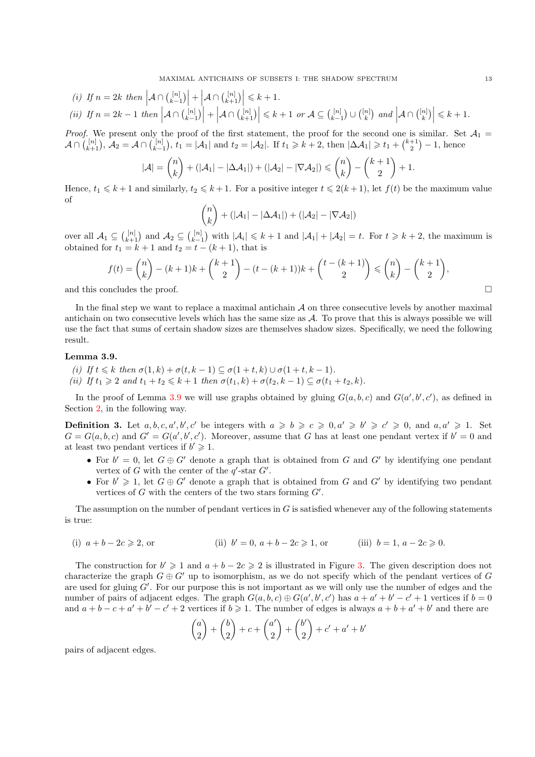(i) If 
$$
n = 2k
$$
 then  $\left| A \cap {n \choose k-1} \right| + \left| A \cap {n \choose k+1} \right| \le k+1$ .  
\n(ii) If  $n = 2k - 1$  then  $\left| A \cap {n \choose k-1} \right| + \left| A \cap {n \choose k+1} \right| \le k+1$  or  $A \subseteq {n \choose k-1} \cup {n \choose k}$  and  $\left| A \cap {n \choose k} \right| \le k+1$ .

*Proof.* We present only the proof of the first statement, the proof for the second one is similar. Set  $\mathcal{A}_1 =$  $\mathcal{A} \cap \binom{[n]}{k+1}, \mathcal{A}_2 = \mathcal{A} \cap \binom{[n]}{k-1}, \ t_1 = |\mathcal{A}_1| \text{ and } t_2 = |\mathcal{A}_2|. \text{ If } t_1 \geq k+2 \text{, then } |\Delta \mathcal{A}_1| \geq t_1 + \binom{k+1}{2} - 1 \text{, hence }$ 

$$
|\mathcal{A}| = \binom{n}{k} + (|\mathcal{A}_1| - |\Delta \mathcal{A}_1|) + (|\mathcal{A}_2| - |\nabla \mathcal{A}_2|) \le \binom{n}{k} - \binom{k+1}{2} + 1.
$$

Hence,  $t_1 \leq k+1$  and similarly,  $t_2 \leq k+1$ . For a positive integer  $t \leq 2(k+1)$ , let  $f(t)$  be the maximum value of

$$
\binom{n}{k} + (|\mathcal{A}_1| - |\Delta \mathcal{A}_1|) + (|\mathcal{A}_2| - |\nabla \mathcal{A}_2|)
$$

over all  $A_1 \subseteq {[n] \choose k+1}$  and  $A_2 \subseteq {[n] \choose k-1}$  with  $|A_i| \leq k+1$  and  $|A_1| + |A_2| = t$ . For  $t \geq k+2$ , the maximum is obtained for  $t_1 = k + 1$  and  $t_2 = t - (k + 1)$ , that is

$$
f(t) = \binom{n}{k} - (k+1)k + \binom{k+1}{2} - (t - (k+1))k + \binom{t - (k+1)}{2} \le \binom{n}{k} - \binom{k+1}{2},
$$
 and this concludes the proof.

In the final step we want to replace a maximal antichain  $A$  on three consecutive levels by another maximal antichain on two consecutive levels which has the same size as  $A$ . To prove that this is always possible we will use the fact that sums of certain shadow sizes are themselves shadow sizes. Specifically, we need the following result.

### <span id="page-12-0"></span>Lemma 3.9.

(i) If  $t \leq k$  then  $\sigma(1, k) + \sigma(t, k - 1) \subseteq \sigma(1 + t, k) \cup \sigma(1 + t, k - 1)$ . (ii) If  $t_1 \geq 2$  and  $t_1 + t_2 \leq k + 1$  then  $\sigma(t_1, k) + \sigma(t_2, k - 1) \subset \sigma(t_1 + t_2, k)$ .

In the proof of Lemma [3.9](#page-12-0) we will use graphs obtained by gluing  $G(a, b, c)$  and  $G(a', b', c')$ , as defined in Section [2,](#page-3-0) in the following way.

**Definition 3.** Let  $a, b, c, a', b', c'$  be integers with  $a \geq b \geq c \geq 0, a' \geq b' \geq c' \geq 0$ , and  $a, a' \geq 1$ . Set  $G = G(a, b, c)$  and  $G' = G(a', b', c')$ . Moreover, assume that G has at least one pendant vertex if  $b' = 0$  and at least two pendant vertices if  $b' \geq 1$ .

- For  $b' = 0$ , let  $G \oplus G'$  denote a graph that is obtained from G and G' by identifying one pendant vertex of G with the center of the  $q'$ -star  $G'$ .
- For  $b' \geq 1$ , let  $G \oplus G'$  denote a graph that is obtained from G and G' by identifying two pendant vertices of  $G$  with the centers of the two stars forming  $G'$ .

The assumption on the number of pendant vertices in  $G$  is satisfied whenever any of the following statements is true:

(i)  $a + b - 2c \geqslant 2$ , or (ii)  $b' = 0$ ,  $a + b - 2c \ge 1$ , or (iii)  $b = 1$ ,  $a - 2c \ge 0$ .

The construction for  $b' \geq 1$  and  $a + b - 2c \geq 2$  is illustrated in Figure [3.](#page-13-0) The given description does not characterize the graph  $G \oplus G'$  up to isomorphism, as we do not specify which of the pendant vertices of G are used for gluing  $G'$ . For our purpose this is not important as we will only use the number of edges and the number of pairs of adjacent edges. The graph  $G(a, b, c) \oplus G(a', b', c')$  has  $a + a' + b' - c' + 1$  vertices if  $b = 0$ and  $a + b - c + a' + b' - c' + 2$  vertices if  $b \ge 1$ . The number of edges is always  $a + b + a' + b'$  and there are

$$
\binom{a}{2} + \binom{b}{2} + c + \binom{a'}{2} + \binom{b'}{2} + c' + a' + b'
$$

pairs of adjacent edges.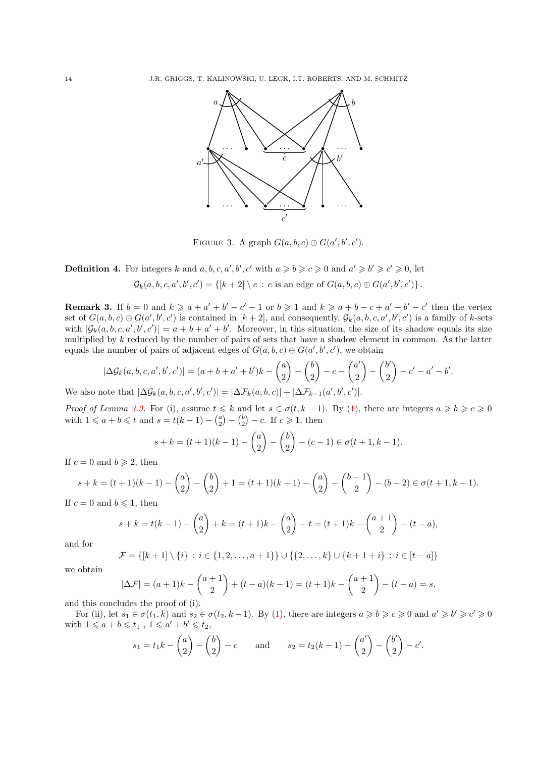

<span id="page-13-0"></span>FIGURE 3. A graph  $G(a, b, c) \oplus G(a', b', c')$ .

**Definition 4.** For integers k and a, b, c, a', b', c' with  $a \ge b \ge c \ge 0$  and  $a' \ge b' \ge c' \ge 0$ , let  $\mathcal{G}_k(a, b, c, a', b', c') = \{ [k+2] \setminus e : e \text{ is an edge of } G(a, b, c) \oplus G(a', b', c') \}.$ 

<span id="page-13-1"></span>**Remark 3.** If  $b = 0$  and  $k \geq a + a' + b' - c' - 1$  or  $b \geq 1$  and  $k \geq a + b - c + a' + b' - c'$  then the vertex set of  $G(a, b, c) \oplus G(a', b', c')$  is contained in  $[k + 2]$ , and consequently,  $\mathcal{G}_k(a, b, c, a', b', c')$  is a family of k-sets with  $|\mathcal{G}_k(a, b, c, a', b', c')| = a + b + a' + b'$ . Moreover, in this situation, the size of its shadow equals its size multiplied by  $k$  reduced by the number of pairs of sets that have a shadow element in common. As the latter equals the number of pairs of adjacent edges of  $G(a, b, c) \oplus G(a', b', c')$ , we obtain

$$
|\Delta \mathcal{G}_k(a, b, c, a', b', c')| = (a + b + a' + b')k - {a \choose 2} - {b \choose 2} - c - {a' \choose 2} - {b' \choose 2} - c' - a' - b'.
$$

We also note that  $|\Delta \mathcal{G}_k(a, b, c, a', b', c')| = |\Delta \mathcal{F}_k(a, b, c)| + |\Delta \mathcal{F}_{k-1}(a', b', c')|.$ 

Proof of Lemma [3.9.](#page-12-0) For (i), assume  $t \leq k$  and let  $s \in \sigma(t, k-1)$ . By [\(1\)](#page-1-3), there are integers  $a \geq b \geq c \geq 0$ with  $1 \le a + b \le t$  and  $s = t(k - 1) - {a \choose 2} - {b \choose 2} - c$ . If  $c \ge 1$ , then

$$
s + k = (t + 1)(k - 1) - \binom{a}{2} - \binom{b}{2} - (c - 1) \in \sigma(t + 1, k - 1).
$$

If  $c = 0$  and  $b \ge 2$ , then

$$
s + k = (t+1)(k-1) - \binom{a}{2} - \binom{b}{2} + 1 = (t+1)(k-1) - \binom{a}{2} - \binom{b-1}{2} - (b-2) \in \sigma(t+1, k-1).
$$
  
= 0 and  $b \le 1$ , then

If  $c = 0$  and  $b \leq 1$ , then

$$
s + k = t(k - 1) - \binom{a}{2} + k = (t + 1)k - \binom{a}{2} - t = (t + 1)k - \binom{a + 1}{2} - (t - a),
$$

and for

$$
\mathcal{F} = \{ [k+1] \setminus \{i\} : i \in \{1, 2, \dots, a+1\} \} \cup \{ \{2, \dots, k\} \cup \{k+1+i\} : i \in [t-a] \}
$$

we obtain

$$
|\Delta \mathcal{F}| = (a+1)k - {a+1 \choose 2} + (t-a)(k-1) = (t+1)k - {a+1 \choose 2} - (t-a) = s,
$$

and this concludes the proof of (i).

For (ii), let  $s_1 \in \sigma(t_1, k)$  and  $s_2 \in \sigma(t_2, k-1)$ . By [\(1\)](#page-1-3), there are integers  $a \ge b \ge c \ge 0$  and  $a' \ge b' \ge c' \ge 0$ with  $1 \leqslant a + b \leqslant t_1$ ,  $1 \leqslant a' + b' \leqslant t_2$ ,

$$
s_1 = t_1 k - {a \choose 2} - {b \choose 2} - c
$$
 and  $s_2 = t_2 (k - 1) - {a' \choose 2} - {b' \choose 2} - c'.$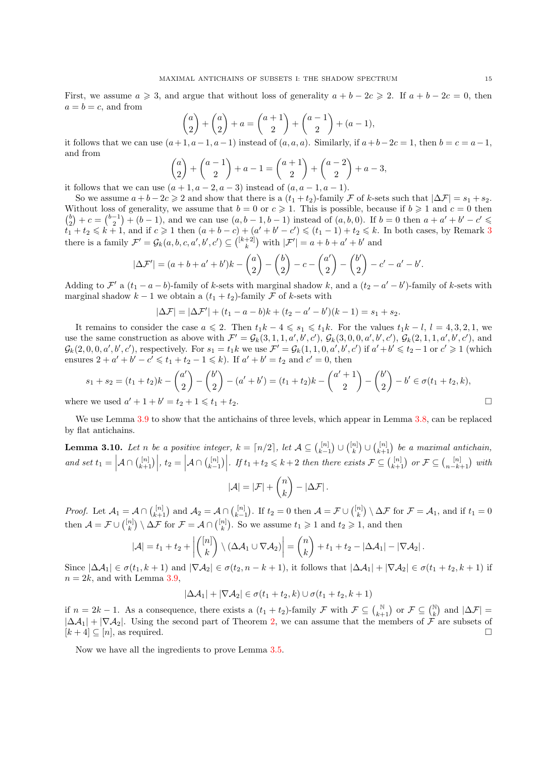First, we assume  $a \geqslant 3$ , and argue that without loss of generality  $a + b - 2c \geqslant 2$ . If  $a + b - 2c = 0$ , then  $a = b = c$ , and from

$$
\binom{a}{2} + \binom{a}{2} + a = \binom{a+1}{2} + \binom{a-1}{2} + (a-1),
$$

it follows that we can use  $(a+1, a-1, a-1)$  instead of  $(a, a, a)$ . Similarly, if  $a+b-2c = 1$ , then  $b = c = a-1$ , and from

$$
\binom{a}{2} + \binom{a-1}{2} + a - 1 = \binom{a+1}{2} + \binom{a-2}{2} + a - 3,
$$
  
(a+1, a-2, a-3) instead of (a, a-1, a-1).

it follows that we can use  $(a + 1, a - 2, a - 3)$  instead of  $(a, a - 1, a - 1)$ .

So we assume  $a + b - 2c \geq 2$  and show that there is a  $(t_1 + t_2)$ -family F of k-sets such that  $|\Delta \mathcal{F}| = s_1 + s_2$ . Without loss of generality, we assume that  $b = 0$  or  $c \ge 1$ . This is possible, because if  $b \ge 1$  and  $c = 0$  then  $\binom{b}{2} + c = \binom{b-1}{2} + (b-1)$ , and we can use  $(a, b-1, b-1)$  instead of  $(a, b, 0)$ . If  $b = 0$  then  $a + a' + b' - c' \leq$  $t_1 + t_2 \leq k + 1$ , and if  $c \geq 1$  then  $(a + b - c) + (a' + b' - c') \leq (t_1 - 1) + t_2 \leq k$ . In both cases, by Remark [3](#page-13-1) there is a family  $\mathcal{F}' = \mathcal{G}_k(a, b, c, a', b', c') \subseteq \binom{[k+2]}{k}$  with  $|\mathcal{F}'| = a + b + a' + b'$  and

$$
|\Delta \mathcal{F}'| = (a+b+a'+b')k - {a \choose 2} - {b \choose 2} - c - {a' \choose 2} - {b' \choose 2} - c' - a' - b'.
$$

Adding to  $\mathcal{F}'$  a  $(t_1 - a - b)$ -family of k-sets with marginal shadow k, and a  $(t_2 - a' - b')$ -family of k-sets with marginal shadow  $k - 1$  we obtain a  $(t_1 + t_2)$ -family  $\mathcal F$  of k-sets with

$$
|\Delta \mathcal{F}| = |\Delta \mathcal{F}'| + (t_1 - a - b)k + (t_2 - a' - b')(k - 1) = s_1 + s_2.
$$

It remains to consider the case  $a \leqslant 2$ . Then  $t_1k - 4 \leqslant s_1 \leqslant t_1k$ . For the values  $t_1k - l$ ,  $l = 4, 3, 2, 1$ , we use the same construction as above with  $\mathcal{F}' = \mathcal{G}_k(3,1,1,a',b',c')$ ,  $\mathcal{G}_k(3,0,0,a',b',c')$ ,  $\mathcal{G}_k(2,1,1,a',b',c')$ , and  $\mathcal{G}_k(2,0,0,a',b',c')$ , respectively. For  $s_1 = t_1k$  we use  $\mathcal{F}' = \mathcal{G}_k(1,1,0,a',b',c')$  if  $a'+b' \leq t_2-1$  or  $c' \geq 1$  (which ensures  $2 + a' + b' - c' \leq t_1 + t_2 - 1 \leq k$ . If  $a' + b' = t_2$  and  $c' = 0$ , then

$$
s_1 + s_2 = (t_1 + t_2)k - {a' \choose 2} - {b' \choose 2} - (a' + b') = (t_1 + t_2)k - {a' + 1 \choose 2} - {b' \choose 2} - b' \in \sigma(t_1 + t_2, k),
$$
  
re we used  $a' + 1 + b' = t_2 + 1 \le t_1 + t_2$ .

where  $' + 1 + b$ 

<span id="page-14-0"></span>We use Lemma [3.9](#page-12-0) to show that the antichains of three levels, which appear in Lemma [3.8,](#page-11-1) can be replaced by flat antichains.

**Lemma 3.10.** Let n be a positive integer,  $k = \lfloor n/2 \rfloor$ , let  $A \subseteq {[n] \choose k-1} \cup {[n] \choose k} \cup {[n] \choose k+1}$  be a maximal antichain, and set  $t_1 = \left| \mathcal{A} \cap \binom{[n]}{k+1} \right|$ ,  $t_2 = \left| \mathcal{A} \cap \binom{[n]}{k-1} \right|$ . If  $t_1 + t_2 \leq k+2$  then there exists  $\mathcal{F} \subseteq \binom{[n]}{k+1}$  or  $\mathcal{F} \subseteq \binom{[n]}{n-k+1}$  with

$$
|\mathcal{A}| = |\mathcal{F}| + \binom{n}{k} - |\Delta \mathcal{F}|.
$$

Proof. Let  $\mathcal{A}_1 = \mathcal{A} \cap {[n] \choose k+1}$  and  $\mathcal{A}_2 = \mathcal{A} \cap {[n] \choose k-1}$ . If  $t_2 = 0$  then  $\mathcal{A} = \mathcal{F} \cup {[n] \choose k} \setminus \Delta \mathcal{F}$  for  $\mathcal{F} = \mathcal{A}_1$ , and if  $t_1 = 0$ then  $\mathcal{A} = \mathcal{F} \cup \binom{[n]}{k} \setminus \Delta \mathcal{F}$  for  $\mathcal{F} = \mathcal{A} \cap \binom{[n]}{k}$ . So we assume  $t_1 \geq 1$  and  $t_2 \geq 1$ , and then

$$
|\mathcal{A}| = t_1 + t_2 + \left| \binom{[n]}{k} \setminus (\Delta \mathcal{A}_1 \cup \nabla \mathcal{A}_2) \right| = \binom{n}{k} + t_1 + t_2 - |\Delta \mathcal{A}_1| - |\nabla \mathcal{A}_2|.
$$

Since  $|\Delta A_1| \in \sigma(t_1, k+1)$  and  $|\nabla A_2| \in \sigma(t_2, n-k+1)$ , it follows that  $|\Delta A_1| + |\nabla A_2| \in \sigma(t_1 + t_2, k+1)$  if  $n = 2k$ , and with Lemma [3.9,](#page-12-0)

$$
|\Delta A_1| + |\nabla A_2| \in \sigma(t_1 + t_2, k) \cup \sigma(t_1 + t_2, k + 1)
$$

if  $n = 2k - 1$ . As a consequence, there exists a  $(t_1 + t_2)$ -family  $\mathcal{F}$  with  $\mathcal{F} \subseteq {N \choose k+1}$  or  $\mathcal{F} \subseteq {N \choose k}$  and  $|\Delta \mathcal{F}| =$  $|\Delta A_1| + |\nabla A_2|$ . Using the second part of Theorem [2,](#page-1-2) we can assume that the members of F are subsets of  $[k+4] \subset [n]$  as required  $[k+4] \subseteq [n]$ , as required.

Now we have all the ingredients to prove Lemma [3.5.](#page-10-2)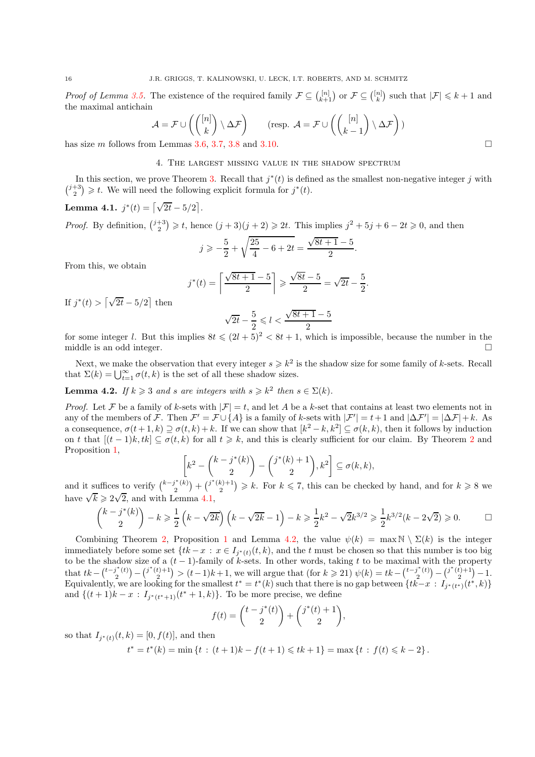*Proof of Lemma [3.5.](#page-10-2)* The existence of the required family  $\mathcal{F} \subseteq \binom{[n]}{k+1}$  or  $\mathcal{F} \subseteq \binom{[n]}{k}$  such that  $|\mathcal{F}| \leq k+1$  and the maximal antichain

$$
\mathcal{A} = \mathcal{F} \cup \left( \binom{[n]}{k} \setminus \Delta \mathcal{F} \right) \qquad \text{(resp. } \mathcal{A} = \mathcal{F} \cup \left( \binom{[n]}{k-1} \setminus \Delta \mathcal{F} \right) \text{)}
$$

<span id="page-15-0"></span>has size m follows from Lemmas [3.6,](#page-10-3) [3.7,](#page-11-0) [3.8](#page-11-1) and [3.10.](#page-14-0)

## 4. The largest missing value in the shadow spectrum

<span id="page-15-1"></span>In this section, we prove Theorem [3.](#page-2-1) Recall that  $j^*(t)$  is defined as the smallest non-negative integer j with  $\binom{j+3}{2} \geq t$ . We will need the following explicit formula for  $j^*(t)$ .

**Lemma 4.1.** 
$$
j^*(t) = \left[\sqrt{2t} - 5/2\right]
$$
.

*Proof.* By definition,  $\binom{j+3}{2} \geq t$ , hence  $(j+3)(j+2) \geq 2t$ . This implies  $j^2 + 5j + 6 - 2t \geq 0$ , and then

$$
j \geqslant -\frac{5}{2} + \sqrt{\frac{25}{4} - 6 + 2t} = \frac{\sqrt{8t + 1} - 5}{2}.
$$

From this, we obtain

$$
j^*(t) = \left\lceil \frac{\sqrt{8t+1} - 5}{2} \right\rceil \ge \frac{\sqrt{8t} - 5}{2} = \sqrt{2t} - \frac{5}{2}.
$$

If  $j^*(t) > \left\lceil \sqrt{2t} - 5/2 \right\rceil$  then

$$
\sqrt{2t} - \frac{5}{2} \leqslant l < \frac{\sqrt{8t+1} - 5}{2}
$$

for some integer l. But this implies  $8t \leq (2l + 5)^2 < 8t + 1$ , which is impossible, because the number in the middle is an odd integer.  $\Box$ 

<span id="page-15-2"></span>Next, we make the observation that every integer  $s \geq k^2$  is the shadow size for some family of k-sets. Recall that  $\Sigma(k) = \bigcup_{t=1}^{\infty} \sigma(t, k)$  is the set of all these shadow sizes.

**Lemma 4.2.** If  $k \ge 3$  and s are integers with  $s \ge k^2$  then  $s \in \Sigma(k)$ .

*Proof.* Let F be a family of k-sets with  $|\mathcal{F}| = t$ , and let A be a k-set that contains at least two elements not in any of the members of F. Then  $\mathcal{F}' = \mathcal{F} \cup \{A\}$  is a family of k-sets with  $|\mathcal{F}'| = t+1$  and  $|\Delta \mathcal{F}'| = |\Delta \mathcal{F}| + k$ . As a consequence,  $\sigma(t+1,k) \supseteq \sigma(t,k) + k$ . If we can show that  $[k^2-k, k^2] \subseteq \sigma(k,k)$ , then it follows by induction on t that  $[(t-1)k, tk] \subset \sigma(t, k)$  for all  $t \geq k$ , and this is clearly sufficient for our claim. By Theorem [2](#page-1-2) and Proposition [1,](#page-2-2)

$$
\[k^2 - \binom{k-j^*(k)}{2} - \binom{j^*(k)+1}{2}, k^2\] \subseteq \sigma(k, k),
$$

and it suffices to verify  $\binom{k-j^*(k)}{2} + \binom{j^*(k)+1}{2} \geq k$ . For  $k \leq 7$ , this can be checked by hand, and for  $k \geq 8$  we have  $\sqrt{k} \geqslant 2\sqrt{2}$ , and with Lemma [4.1,](#page-15-1)

$$
\binom{k-j^*(k)}{2} - k \ge \frac{1}{2}\left(k - \sqrt{2k}\right)\left(k - \sqrt{2k} - 1\right) - k \ge \frac{1}{2}k^2 - \sqrt{2}k^{3/2} \ge \frac{1}{2}k^{3/2}(k - 2\sqrt{2}) \ge 0. \qquad \Box
$$

Combining Theorem [2,](#page-1-2) Proposition [1](#page-2-2) and Lemma [4.2,](#page-15-2) the value  $\psi(k) = \max \mathbb{N} \setminus \Sigma(k)$  is the integer immediately before some set  $\{tk - x : x \in I_{j^*(t)}(t, k)\}$ , and the t must be chosen so that this number is too big to be the shadow size of a  $(t-1)$ -family of k-sets. In other words, taking t to be maximal with the property that  $tk - {t-j^*(t) \choose 2} - {j^*(t)+1 \choose 2} > (t-1)k+1$ , we will argue that  $(\text{for } k \geq 21) \psi(k) = tk - {t-j^*(t) \choose 2} - {j^*(t)+1 \choose 2} - 1$ . Equivalently, we are looking for the smallest  $t^* = t^*(k)$  such that there is no gap between  $\{tk-x : I_{j^*(t^*)}(t^*,k)\}$ and  $\{(t+1)k - x : I_{j^*(t^*+1)}(t^*+1, k)\}$ . To be more precise, we define

$$
f(t) = {t - j^{*}(t) \choose 2} + {j^{*}(t) + 1 \choose 2},
$$

so that  $I_{j^*(t)}(t, k) = [0, f(t)],$  and then

 $t^* = t^*(k) = \min\{t : (t+1)k - f(t+1) \leqslant tk + 1\} = \max\{t : f(t) \leqslant k - 2\}.$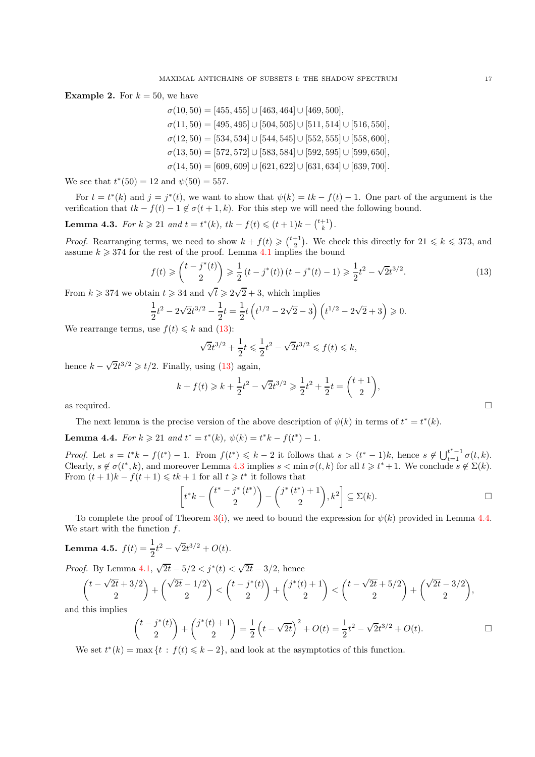**Example 2.** For  $k = 50$ , we have

 $\sigma(10, 50) = [455, 455] \cup [463, 464] \cup [469, 500],$  $\sigma(11, 50) = [495, 495] \cup [504, 505] \cup [511, 514] \cup [516, 550],$  $\sigma(12, 50) = [534, 534] \cup [544, 545] \cup [552, 555] \cup [558, 600],$  $\sigma(13, 50) = [572, 572] \cup [583, 584] \cup [592, 595] \cup [599, 650],$  $\sigma(14, 50) = [609, 609] \cup [621, 622] \cup [631, 634] \cup [639, 700].$ 

We see that  $t^*(50) = 12$  and  $\psi(50) = 557$ .

<span id="page-16-1"></span>For  $t = t^*(k)$  and  $j = j^*(t)$ , we want to show that  $\psi(k) = tk - f(t) - 1$ . One part of the argument is the verification that  $tk - f(t) - 1 \notin \sigma(t+1, k)$ . For this step we will need the following bound.

**Lemma 4.3.** For  $k \ge 21$  and  $t = t^*(k)$ ,  $tk - f(t) \le (t+1)k - \binom{t+1}{k}$ .

*Proof.* Rearranging terms, we need to show  $k + f(t) \geq \binom{t+1}{2}$ . We check this directly for  $21 \leq k \leq 373$ , and assume  $k \geq 374$  for the rest of the proof. Lemma [4.1](#page-15-1) implies the bound

<span id="page-16-0"></span>
$$
f(t) \geq \binom{t - j^*(t)}{2} \geq \frac{1}{2} \left( t - j^*(t) \right) \left( t - j^*(t) - 1 \right) \geq \frac{1}{2} t^2 - \sqrt{2} t^{3/2}.
$$
 (13)

From  $k \geqslant 374$  we obtain  $t \geqslant 34$  and  $\sqrt{t} \geqslant 2\sqrt{2} + 3$ , which implies

$$
\frac{1}{2}t^2 - 2\sqrt{2}t^{3/2} - \frac{1}{2}t = \frac{1}{2}t\left(t^{1/2} - 2\sqrt{2} - 3\right)\left(t^{1/2} - 2\sqrt{2} + 3\right) \ge 0.
$$

We rearrange terms, use  $f(t) \leq k$  and [\(13\)](#page-16-0):

$$
\sqrt{2}t^{3/2} + \frac{1}{2}t \leq \frac{1}{2}t^2 - \sqrt{2}t^{3/2} \leq f(t) \leq k,
$$

hence  $k - \sqrt{2}t^{3/2} \ge t/2$ . Finally, using [\(13\)](#page-16-0) again,

$$
k + f(t) \ge k + \frac{1}{2}t^2 - \sqrt{2}t^{3/2} \ge \frac{1}{2}t^2 + \frac{1}{2}t = {t+1 \choose 2},
$$

as required.  $\Box$ 

<span id="page-16-2"></span>The next lemma is the precise version of the above description of  $\psi(k)$  in terms of  $t^* = t^*(k)$ .

**Lemma 4.4.** For  $k \ge 21$  and  $t^* = t^*(k)$ ,  $\psi(k) = t^*k - f(t^*) - 1$ .

Proof. Let  $s = t^*k - f(t^*) - 1$ . From  $f(t^*) \leq k - 2$  it follows that  $s > (t^* - 1)k$ , hence  $s \notin \bigcup_{t=1}^{t^*-1} \sigma(t, k)$ . Clearly,  $s \notin \sigma(t^*, k)$ , and moreover Lemma [4.3](#page-16-1) implies  $s < \min \sigma(t, k)$  for all  $t \geq t^* + 1$ . We conclude  $s \notin \Sigma(k)$ . From  $(t+1)k - f(t+1) \leqslant tk + 1$  for all  $t \geqslant t^*$  it follows that

$$
\[t^*k - \binom{t^* - j^*(t^*)}{2} - \binom{j^*(t^*) + 1}{2}, k^2\] \subseteq \Sigma(k). \qquad \Box
$$

<span id="page-16-3"></span>To complete the proof of Theorem [3](#page-2-1)[\(i\)](#page-2-4), we need to bound the expression for  $\psi(k)$  provided in Lemma [4.4.](#page-16-2) We start with the function  $f$ .

**Lemma 4.5.** 
$$
f(t) = \frac{1}{2}t^2 - \sqrt{2}t^{3/2} + O(t)
$$
.

*Proof.* By Lemma [4.1,](#page-15-1)  $\sqrt{2t} - 5/2 < j^*(t) < \sqrt{2t} - 3/2$ , hence

$$
\binom{t-\sqrt{2t}+3/2}{2}+\binom{\sqrt{2t}-1/2}{2}<\binom{t-j^*(t)}{2}+\binom{j^*(t)+1}{2}<\binom{t-\sqrt{2t}+5/2}{2}+\binom{\sqrt{2t}-3/2}{2},
$$

and this implies

$$
\binom{t-j^*(t)}{2} + \binom{j^*(t)+1}{2} = \frac{1}{2}\left(t-\sqrt{2t}\right)^2 + O(t) = \frac{1}{2}t^2 - \sqrt{2}t^{3/2} + O(t).
$$

<span id="page-16-4"></span>We set  $t^*(k) = \max\{t : f(t) \leq k - 2\}$ , and look at the asymptotics of this function.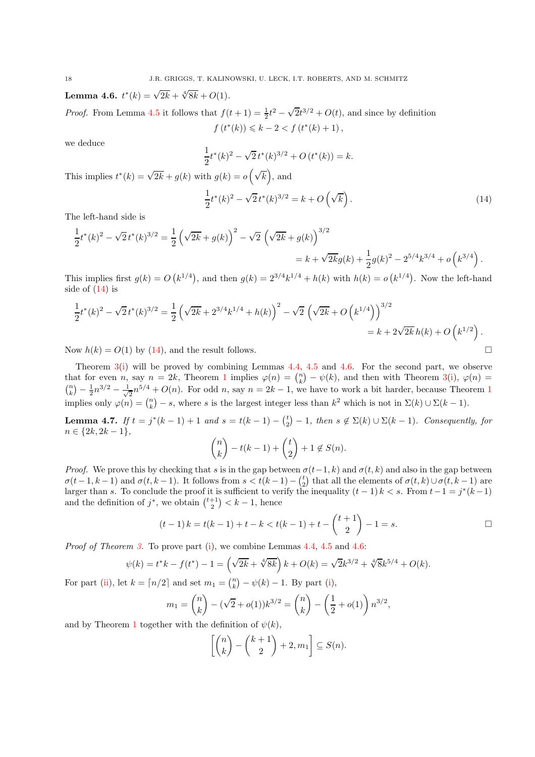Lemma 4.6.  $t^*(k) = \sqrt{2k} + \sqrt[4]{8k} + O(1)$ .

*Proof.* From Lemma [4.5](#page-16-3) it follows that  $f(t+1) = \frac{1}{2}t^2 - \sqrt{2}t^{3/2} + O(t)$ , and since by definition  $f(t^*(k)) \leq k - 2 < f(t^*(k) + 1),$ 

we deduce

$$
\frac{1}{2}t^*(k)^2 - \sqrt{2}t^*(k)^{3/2} + O(t^*(k)) = k.
$$
  
This implies  $t^*(k) = \sqrt{2k} + g(k)$  with  $g(k) = o(\sqrt{k})$ , and  

$$
\frac{1}{2}t^*(k)^2 - \sqrt{2}t^*(k)^{3/2} = k + O(\sqrt{k}).
$$

 $(14)$ 

The left-hand side is

<span id="page-17-0"></span>
$$
\frac{1}{2}t^*(k)^2 - \sqrt{2}t^*(k)^{3/2} = \frac{1}{2}(\sqrt{2k} + g(k))^{2} - \sqrt{2}(\sqrt{2k} + g(k))^{3/2}
$$
  
=  $k + \sqrt{2k}g(k) + \frac{1}{2}g(k)^2 - 2^{5/4}k^{3/4} + o(k^{3/4}).$ 

This implies first  $g(k) = O(k^{1/4})$ , and then  $g(k) = 2^{3/4}k^{1/4} + h(k)$  with  $h(k) = o(k^{1/4})$ . Now the left-hand side of [\(14\)](#page-17-0) is

$$
\frac{1}{2}t^*(k)^2 - \sqrt{2}t^*(k)^{3/2} = \frac{1}{2}(\sqrt{2k} + 2^{3/4}k^{1/4} + h(k))^{2} - \sqrt{2}(\sqrt{2k} + O(k^{1/4}))^{3/2}
$$
  
=  $k + 2\sqrt{2k}h(k) + O(k^{1/2}).$ 

Now  $h(k) = O(1)$  by [\(14\)](#page-17-0), and the result follows.

Theorem [3](#page-2-1)[\(i\)](#page-2-4) will be proved by combining Lemmas [4.4,](#page-16-2) [4.5](#page-16-3) and [4.6.](#page-16-4) For the second part, we observe that for even n, say  $n = 2k$ , Theorem [1](#page-1-1) implies  $\varphi(n) = \binom{n}{k} - \psi(k)$ , and then with Theorem [3](#page-2-1)[\(i\)](#page-2-4),  $\varphi(n) =$  $\binom{n}{k} - \frac{1}{2}n^{3/2} - \frac{1}{\sqrt{2}}$  $\frac{1}{2}n^{5/4} + O(n)$  $\frac{1}{2}n^{5/4} + O(n)$  $\frac{1}{2}n^{5/4} + O(n)$ . For odd n, say  $n = 2k - 1$ , we have to work a bit harder, because Theorem 1 implies only  $\varphi(n) = \binom{n}{k} - s$ , where s is the largest integer less than  $k^2$  which is not in  $\Sigma(k) \cup \Sigma(k-1)$ .

<span id="page-17-1"></span>**Lemma 4.7.** If  $t = j^*(k-1) + 1$  and  $s = t(k-1) - \binom{t}{2} - 1$ , then  $s \notin \Sigma(k) \cup \Sigma(k-1)$ . Consequently, for  $n \in \{2k, 2k - 1\},\$ 

$$
\binom{n}{k} - t(k-1) + \binom{t}{2} + 1 \notin S(n).
$$

*Proof.* We prove this by checking that s is in the gap between  $\sigma(t-1, k)$  and  $\sigma(t, k)$  and also in the gap between  $\sigma(t-1,k-1)$  and  $\sigma(t,k-1)$ . It follows from  $s < t(k-1) - {t \choose 2}$  that all the elements of  $\sigma(t,k) \cup \sigma(t,k-1)$  are larger than s. To conclude the proof it is sufficient to verify the inequality  $(t-1)k < s$ . From  $t-1 = j^*(k-1)$ and the definition of  $j^*$ , we obtain  $\binom{t+1}{2} < k - 1$ , hence

$$
(t-1) k = t(k-1) + t - k < t(k-1) + t - \binom{t+1}{2} - 1 = s.
$$

*Proof of Theorem [3.](#page-2-1)* To prove part [\(i\)](#page-2-4), we combine Lemmas  $4.4, 4.5$  $4.4, 4.5$  $4.4, 4.5$  and  $4.6$ :

$$
\psi(k) = t^*k - f(t^*) - 1 = \left(\sqrt{2k} + \sqrt[4]{8k}\right)k + O(k) = \sqrt{2}k^{3/2} + \sqrt[4]{8k^{5/4}} + O(k).
$$

For part [\(ii\)](#page-2-5), let  $k = \lceil n/2 \rceil$  and set  $m_1 = \binom{n}{k} - \psi(k) - 1$ . By part [\(i\)](#page-2-4),

$$
m_1 = \binom{n}{k} - (\sqrt{2} + o(1))k^{3/2} = \binom{n}{k} - \left(\frac{1}{2} + o(1)\right)n^{3/2},
$$

and by Theorem [1](#page-1-1) together with the definition of  $\psi(k)$ ,

$$
\left[\binom{n}{k} - \binom{k+1}{2} + 2, m_1\right] \subseteq S(n).
$$